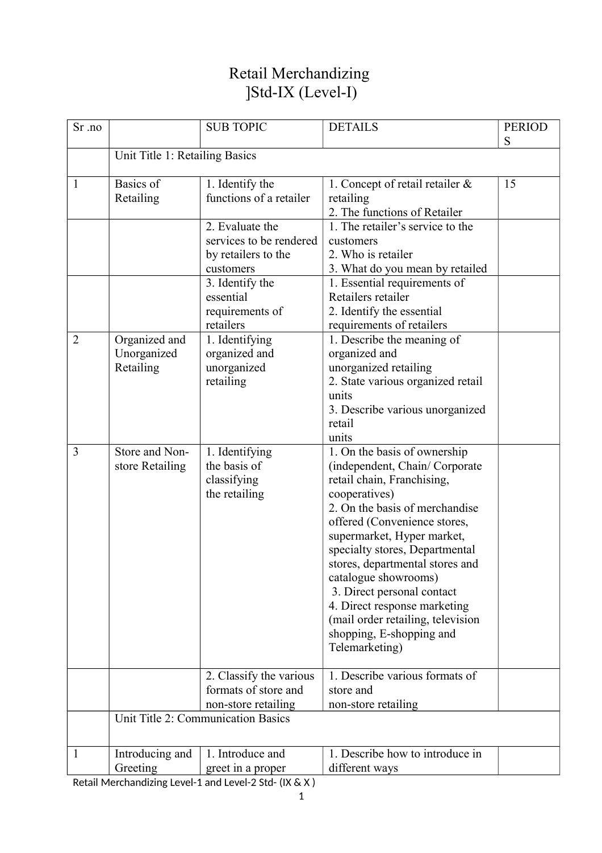# Retail Merchandizing ]Std-IX (Level-I)

| Sr .no         |                                           | <b>SUB TOPIC</b>                                                               | <b>DETAILS</b>                                                                                                                                                                                                                                                                                                                                                                                                                                             | <b>PERIOD</b><br>S |
|----------------|-------------------------------------------|--------------------------------------------------------------------------------|------------------------------------------------------------------------------------------------------------------------------------------------------------------------------------------------------------------------------------------------------------------------------------------------------------------------------------------------------------------------------------------------------------------------------------------------------------|--------------------|
|                | Unit Title 1: Retailing Basics            |                                                                                |                                                                                                                                                                                                                                                                                                                                                                                                                                                            |                    |
| $\mathbf{1}$   | Basics of<br>Retailing                    | 1. Identify the<br>functions of a retailer                                     | 1. Concept of retail retailer $\&$<br>retailing<br>2. The functions of Retailer                                                                                                                                                                                                                                                                                                                                                                            | 15                 |
|                |                                           | 2. Evaluate the<br>services to be rendered<br>by retailers to the<br>customers | 1. The retailer's service to the<br>customers<br>2. Who is retailer<br>3. What do you mean by retailed                                                                                                                                                                                                                                                                                                                                                     |                    |
|                |                                           | 3. Identify the<br>essential<br>requirements of<br>retailers                   | 1. Essential requirements of<br>Retailers retailer<br>2. Identify the essential<br>requirements of retailers                                                                                                                                                                                                                                                                                                                                               |                    |
| $\overline{2}$ | Organized and<br>Unorganized<br>Retailing | 1. Identifying<br>organized and<br>unorganized<br>retailing                    | 1. Describe the meaning of<br>organized and<br>unorganized retailing<br>2. State various organized retail<br>units<br>3. Describe various unorganized<br>retail<br>units                                                                                                                                                                                                                                                                                   |                    |
| $\overline{3}$ | Store and Non-<br>store Retailing         | 1. Identifying<br>the basis of<br>classifying<br>the retailing                 | 1. On the basis of ownership<br>(independent, Chain/Corporate<br>retail chain, Franchising,<br>cooperatives)<br>2. On the basis of merchandise<br>offered (Convenience stores,<br>supermarket, Hyper market,<br>specialty stores, Departmental<br>stores, departmental stores and<br>catalogue showrooms)<br>3. Direct personal contact<br>4. Direct response marketing<br>(mail order retailing, television<br>shopping, E-shopping and<br>Telemarketing) |                    |
|                |                                           | 2. Classify the various<br>formats of store and<br>non-store retailing         | 1. Describe various formats of<br>store and<br>non-store retailing                                                                                                                                                                                                                                                                                                                                                                                         |                    |
|                |                                           | Unit Title 2: Communication Basics                                             |                                                                                                                                                                                                                                                                                                                                                                                                                                                            |                    |
| 1              | Introducing and<br>Greeting               | 1. Introduce and<br>greet in a proper                                          | 1. Describe how to introduce in<br>different ways                                                                                                                                                                                                                                                                                                                                                                                                          |                    |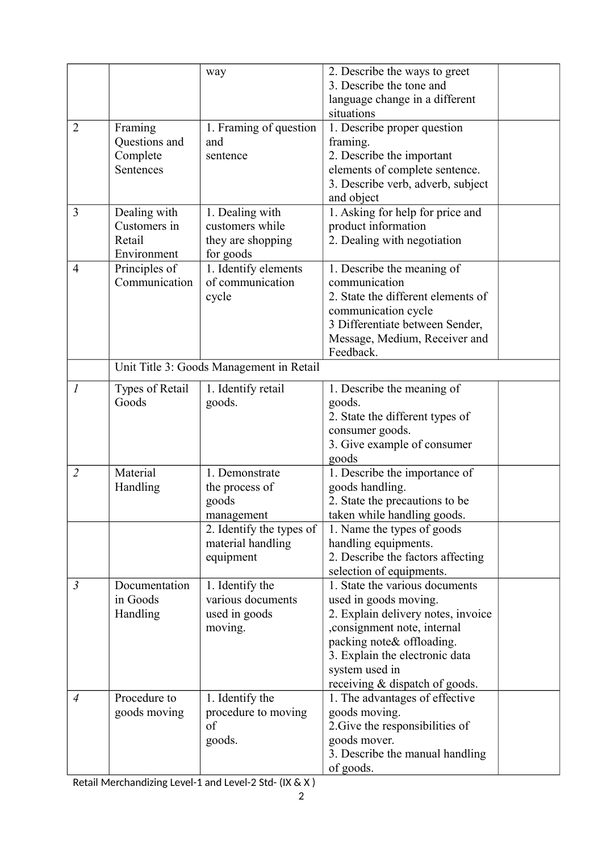|                |                                                       | way                                                                                                                   | 2. Describe the ways to greet<br>3. Describe the tone and                                                                                                                                                                                         |  |
|----------------|-------------------------------------------------------|-----------------------------------------------------------------------------------------------------------------------|---------------------------------------------------------------------------------------------------------------------------------------------------------------------------------------------------------------------------------------------------|--|
|                |                                                       |                                                                                                                       | language change in a different<br>situations                                                                                                                                                                                                      |  |
| $\overline{2}$ | Framing<br>Questions and<br>Complete<br>Sentences     | 1. Framing of question<br>and<br>sentence                                                                             | 1. Describe proper question<br>framing.<br>2. Describe the important<br>elements of complete sentence.<br>3. Describe verb, adverb, subject<br>and object                                                                                         |  |
| 3              | Dealing with<br>Customers in<br>Retail<br>Environment | 1. Dealing with<br>customers while<br>they are shopping<br>for goods                                                  | 1. Asking for help for price and<br>product information<br>2. Dealing with negotiation                                                                                                                                                            |  |
| $\overline{4}$ | Principles of<br>Communication                        | 1. Identify elements<br>of communication<br>cycle                                                                     | 1. Describe the meaning of<br>communication<br>2. State the different elements of<br>communication cycle<br>3 Differentiate between Sender,<br>Message, Medium, Receiver and<br>Feedback.                                                         |  |
|                |                                                       | Unit Title 3: Goods Management in Retail                                                                              |                                                                                                                                                                                                                                                   |  |
| $\mathcal{I}$  | Types of Retail<br>Goods                              | 1. Identify retail<br>goods.                                                                                          | 1. Describe the meaning of<br>goods.<br>2. State the different types of<br>consumer goods.<br>3. Give example of consumer<br>goods                                                                                                                |  |
| $\overline{2}$ | Material<br>Handling                                  | 1. Demonstrate<br>the process of<br>goods<br>management<br>2. Identify the types of<br>material handling<br>equipment | 1. Describe the importance of<br>goods handling.<br>2. State the precautions to be<br>taken while handling goods.<br>1. Name the types of goods<br>handling equipments.<br>2. Describe the factors affecting<br>selection of equipments.          |  |
| $\mathfrak{Z}$ | Documentation<br>in Goods<br>Handling                 | 1. Identify the<br>various documents<br>used in goods<br>moving.                                                      | 1. State the various documents<br>used in goods moving.<br>2. Explain delivery notes, invoice<br>, consignment note, internal<br>packing note & offloading.<br>3. Explain the electronic data<br>system used in<br>receiving & dispatch of goods. |  |
| $\overline{4}$ | Procedure to<br>goods moving                          | 1. Identify the<br>procedure to moving<br>of<br>goods.                                                                | 1. The advantages of effective<br>goods moving.<br>2. Give the responsibilities of<br>goods mover.<br>3. Describe the manual handling<br>of goods.                                                                                                |  |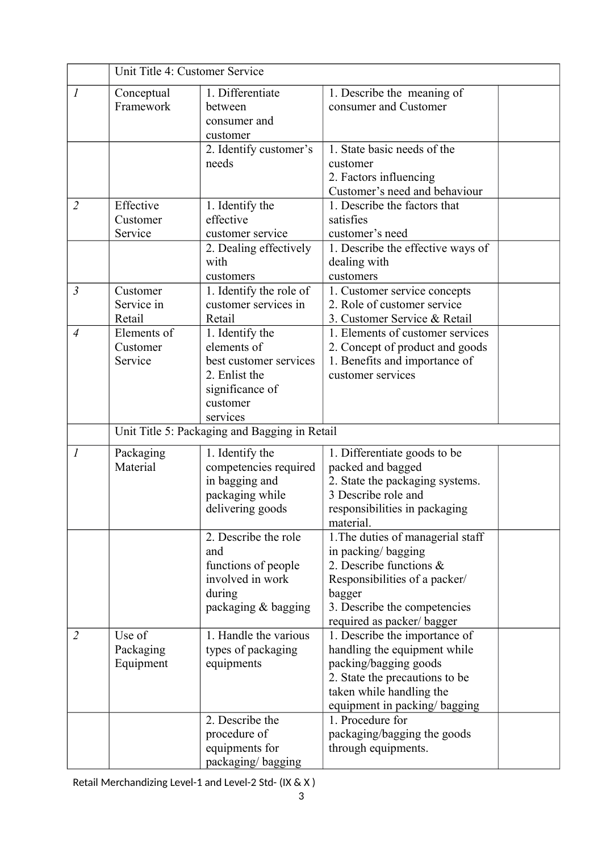|                | Unit Title 4: Customer Service     |                                                                                                                      |                                                                                                                                                                                               |  |
|----------------|------------------------------------|----------------------------------------------------------------------------------------------------------------------|-----------------------------------------------------------------------------------------------------------------------------------------------------------------------------------------------|--|
| 1              | Conceptual<br>Framework            | 1. Differentiate<br>between<br>consumer and<br>customer                                                              | 1. Describe the meaning of<br>consumer and Customer                                                                                                                                           |  |
|                |                                    | 2. Identify customer's<br>needs                                                                                      | 1. State basic needs of the<br>customer<br>2. Factors influencing<br>Customer's need and behaviour                                                                                            |  |
| $\overline{2}$ | Effective<br>Customer<br>Service   | 1. Identify the<br>effective<br>customer service                                                                     | 1. Describe the factors that<br>satisfies<br>customer's need                                                                                                                                  |  |
|                |                                    | 2. Dealing effectively<br>with<br>customers                                                                          | 1. Describe the effective ways of<br>dealing with<br>customers                                                                                                                                |  |
| $\mathfrak{Z}$ | Customer<br>Service in<br>Retail   | 1. Identify the role of<br>customer services in<br>Retail                                                            | 1. Customer service concepts<br>2. Role of customer service<br>3. Customer Service & Retail                                                                                                   |  |
| $\overline{4}$ | Elements of<br>Customer<br>Service | 1. Identify the<br>elements of<br>best customer services<br>2. Enlist the<br>significance of<br>customer<br>services | 1. Elements of customer services<br>2. Concept of product and goods<br>1. Benefits and importance of<br>customer services                                                                     |  |
|                |                                    | Unit Title 5: Packaging and Bagging in Retail                                                                        |                                                                                                                                                                                               |  |
| $\mathcal{I}$  | Packaging<br>Material              | 1. Identify the<br>competencies required<br>in bagging and<br>packaging while<br>delivering goods                    | 1. Differentiate goods to be<br>packed and bagged<br>2. State the packaging systems.<br>3 Describe role and<br>responsibilities in packaging<br>material.                                     |  |
|                |                                    | 2. Describe the role<br>and<br>functions of people<br>involved in work<br>during<br>packaging & bagging              | 1. The duties of managerial staff<br>in packing/bagging<br>2. Describe functions $\&$<br>Responsibilities of a packer/<br>bagger<br>3. Describe the competencies<br>required as packer/bagger |  |
| $\overline{2}$ | Use of<br>Packaging<br>Equipment   | 1. Handle the various<br>types of packaging<br>equipments                                                            | 1. Describe the importance of<br>handling the equipment while<br>packing/bagging goods<br>2. State the precautions to be<br>taken while handling the<br>equipment in packing/ bagging         |  |
|                |                                    | 2. Describe the<br>procedure of<br>equipments for<br>packaging/bagging                                               | 1. Procedure for<br>packaging/bagging the goods<br>through equipments.                                                                                                                        |  |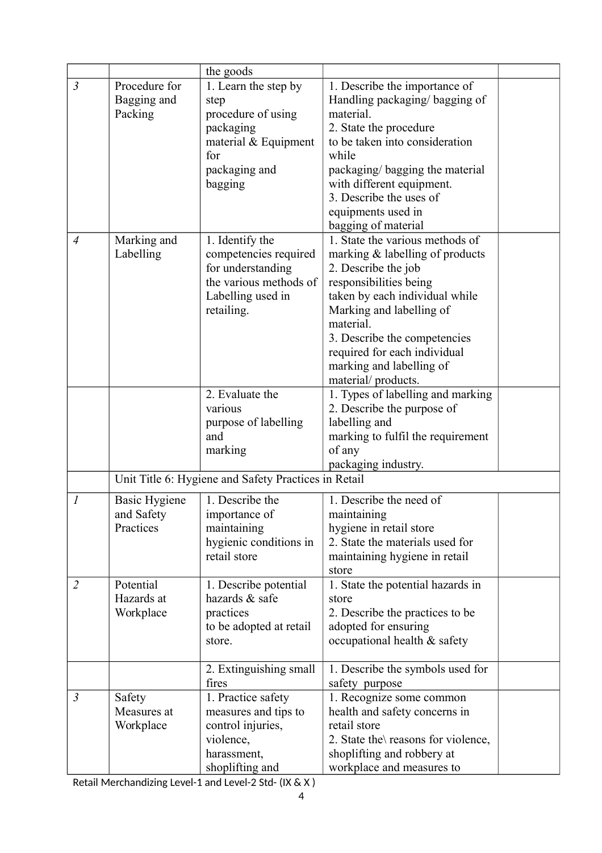|                  |                      | the goods                                            |                                     |  |
|------------------|----------------------|------------------------------------------------------|-------------------------------------|--|
| $\mathfrak{Z}$   | Procedure for        | 1. Learn the step by                                 | 1. Describe the importance of       |  |
|                  | Bagging and          | step                                                 | Handling packaging/bagging of       |  |
|                  | Packing              | procedure of using                                   | material.                           |  |
|                  |                      | packaging                                            | 2. State the procedure              |  |
|                  |                      | material $&$ Equipment                               | to be taken into consideration      |  |
|                  |                      | for                                                  | while                               |  |
|                  |                      | packaging and                                        | packaging/bagging the material      |  |
|                  |                      | bagging                                              | with different equipment.           |  |
|                  |                      |                                                      | 3. Describe the uses of             |  |
|                  |                      |                                                      | equipments used in                  |  |
|                  |                      |                                                      | bagging of material                 |  |
| $\overline{4}$   | Marking and          | 1. Identify the                                      | 1. State the various methods of     |  |
|                  | Labelling            | competencies required                                | marking & labelling of products     |  |
|                  |                      | for understanding                                    | 2. Describe the job                 |  |
|                  |                      | the various methods of                               | responsibilities being              |  |
|                  |                      | Labelling used in                                    | taken by each individual while      |  |
|                  |                      | retailing.                                           | Marking and labelling of            |  |
|                  |                      |                                                      | material.                           |  |
|                  |                      |                                                      | 3. Describe the competencies        |  |
|                  |                      |                                                      | required for each individual        |  |
|                  |                      |                                                      | marking and labelling of            |  |
|                  |                      |                                                      | material/products.                  |  |
|                  |                      | 2. Evaluate the                                      | 1. Types of labelling and marking   |  |
|                  |                      | various                                              | 2. Describe the purpose of          |  |
|                  |                      | purpose of labelling                                 | labelling and                       |  |
|                  |                      | and                                                  | marking to fulfil the requirement   |  |
|                  |                      | marking                                              | of any                              |  |
|                  |                      |                                                      | packaging industry.                 |  |
|                  |                      | Unit Title 6: Hygiene and Safety Practices in Retail |                                     |  |
| $\boldsymbol{l}$ | <b>Basic Hygiene</b> | 1. Describe the                                      | 1. Describe the need of             |  |
|                  | and Safety           | importance of                                        | maintaining                         |  |
|                  | Practices            | maintaining                                          | hygiene in retail store             |  |
|                  |                      | hygienic conditions in                               | 2. State the materials used for     |  |
|                  |                      | retail store                                         | maintaining hygiene in retail       |  |
|                  |                      |                                                      | store                               |  |
| $\overline{2}$   | Potential            | 1. Describe potential                                | 1. State the potential hazards in   |  |
|                  | Hazards at           | hazards & safe                                       | store                               |  |
|                  | Workplace            | practices                                            | 2. Describe the practices to be     |  |
|                  |                      | to be adopted at retail                              | adopted for ensuring                |  |
|                  |                      | store.                                               | occupational health & safety        |  |
|                  |                      |                                                      |                                     |  |
|                  |                      | 2. Extinguishing small                               | 1. Describe the symbols used for    |  |
|                  |                      | fires                                                | safety purpose                      |  |
| $\mathfrak{Z}$   | Safety               | 1. Practice safety                                   | 1. Recognize some common            |  |
|                  | Measures at          | measures and tips to                                 | health and safety concerns in       |  |
|                  | Workplace            | control injuries,                                    | retail store                        |  |
|                  |                      | violence,                                            | 2. State the \reasons for violence, |  |
|                  |                      | harassment,                                          | shoplifting and robbery at          |  |
|                  |                      | shoplifting and                                      | workplace and measures to           |  |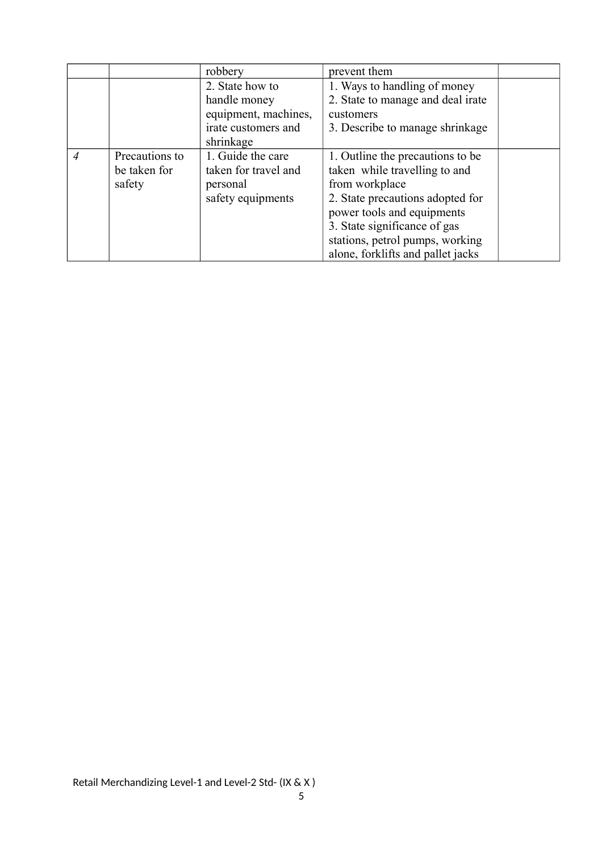|   |                | robbery              | prevent them                      |  |
|---|----------------|----------------------|-----------------------------------|--|
|   |                | 2. State how to      | 1. Ways to handling of money      |  |
|   |                | handle money         | 2. State to manage and deal irate |  |
|   |                | equipment, machines, | customers                         |  |
|   |                | irate customers and  | 3. Describe to manage shrinkage   |  |
|   |                | shrinkage            |                                   |  |
| 4 | Precautions to | 1. Guide the care    | 1. Outline the precautions to be. |  |
|   | be taken for   | taken for travel and | taken while travelling to and     |  |
|   | safety         | personal             | from workplace                    |  |
|   |                | safety equipments    | 2. State precautions adopted for  |  |
|   |                |                      | power tools and equipments        |  |
|   |                |                      | 3. State significance of gas      |  |
|   |                |                      | stations, petrol pumps, working   |  |
|   |                |                      | alone, forklifts and pallet jacks |  |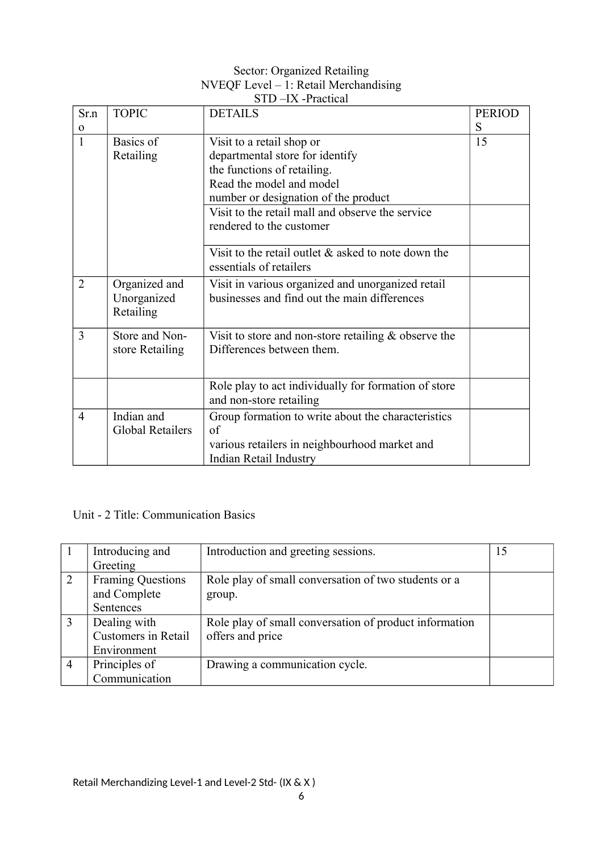#### Sector: Organized Retailing NVEQF Level – 1: Retail Merchandising STD –IX -Practical

| Sr.n           | <b>TOPIC</b>                              | ບ ເ ມ<br>$\tau$ LA -i Iautival<br><b>DETAILS</b>                                                  | <b>PERIOD</b> |
|----------------|-------------------------------------------|---------------------------------------------------------------------------------------------------|---------------|
| $\mathbf 0$    |                                           |                                                                                                   | S             |
| $\mathbf{1}$   | Basics of                                 | Visit to a retail shop or                                                                         | 15            |
|                | Retailing                                 | departmental store for identify                                                                   |               |
|                |                                           | the functions of retailing.                                                                       |               |
|                |                                           | Read the model and model                                                                          |               |
|                |                                           | number or designation of the product                                                              |               |
|                |                                           | Visit to the retail mall and observe the service                                                  |               |
|                |                                           | rendered to the customer                                                                          |               |
|                |                                           | Visit to the retail outlet $\&$ asked to note down the<br>essentials of retailers                 |               |
| $\overline{2}$ | Organized and<br>Unorganized<br>Retailing | Visit in various organized and unorganized retail<br>businesses and find out the main differences |               |
| 3              | Store and Non-<br>store Retailing         | Visit to store and non-store retailing $\&$ observe the<br>Differences between them.              |               |
|                |                                           | Role play to act individually for formation of store<br>and non-store retailing                   |               |
| $\overline{4}$ | Indian and<br><b>Global Retailers</b>     | Group formation to write about the characteristics<br>of                                          |               |
|                |                                           | various retailers in neighbourhood market and<br>Indian Retail Industry                           |               |

# Unit - 2 Title: Communication Basics

|   | Introducing and            | Introduction and greeting sessions.                    | 15 |
|---|----------------------------|--------------------------------------------------------|----|
|   | Greeting                   |                                                        |    |
| 2 | <b>Framing Questions</b>   | Role play of small conversation of two students or a   |    |
|   | and Complete               | group.                                                 |    |
|   | Sentences                  |                                                        |    |
| 3 | Dealing with               | Role play of small conversation of product information |    |
|   | <b>Customers</b> in Retail | offers and price                                       |    |
|   | Environment                |                                                        |    |
| 4 | Principles of              | Drawing a communication cycle.                         |    |
|   | Communication              |                                                        |    |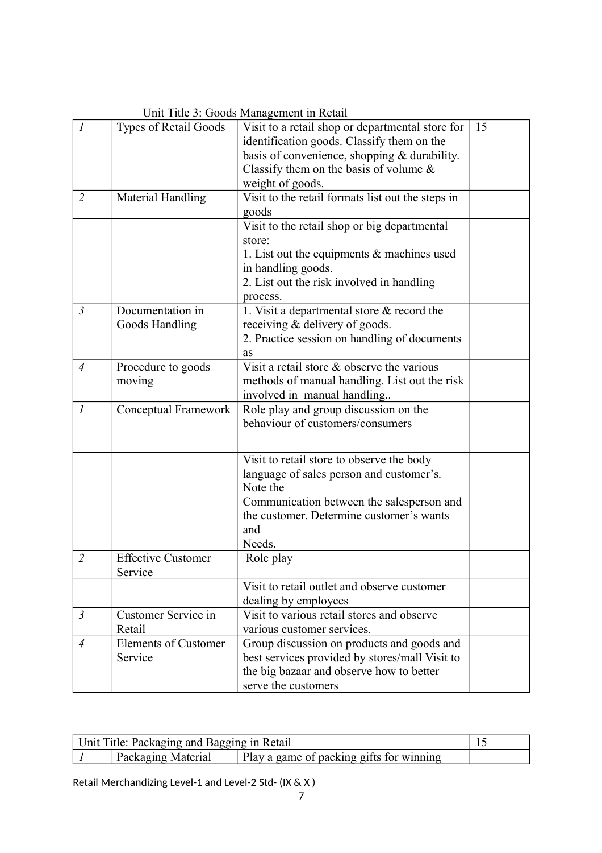| $\mathcal{I}_{\mathcal{I}}$ | Types of Retail Goods                  | Visit to a retail shop or departmental store for<br>identification goods. Classify them on the<br>basis of convenience, shopping & durability.<br>Classify them on the basis of volume $\&$<br>weight of goods. | 15 |
|-----------------------------|----------------------------------------|-----------------------------------------------------------------------------------------------------------------------------------------------------------------------------------------------------------------|----|
| $\overline{2}$              | Material Handling                      | Visit to the retail formats list out the steps in<br>goods                                                                                                                                                      |    |
|                             |                                        | Visit to the retail shop or big departmental<br>store:<br>1. List out the equipments $\&$ machines used<br>in handling goods.<br>2. List out the risk involved in handling<br>process.                          |    |
| $\mathfrak{Z}$              | Documentation in<br>Goods Handling     | 1. Visit a departmental store $&$ record the<br>receiving & delivery of goods.<br>2. Practice session on handling of documents<br>as                                                                            |    |
| $\overline{4}$              | Procedure to goods<br>moving           | Visit a retail store & observe the various<br>methods of manual handling. List out the risk<br>involved in manual handling                                                                                      |    |
| $\boldsymbol{l}$            | Conceptual Framework                   | Role play and group discussion on the<br>behaviour of customers/consumers                                                                                                                                       |    |
|                             |                                        | Visit to retail store to observe the body<br>language of sales person and customer's.<br>Note the<br>Communication between the salesperson and<br>the customer. Determine customer's wants<br>and<br>Needs.     |    |
| $\overline{2}$              | <b>Effective Customer</b><br>Service   | Role play                                                                                                                                                                                                       |    |
|                             |                                        | Visit to retail outlet and observe customer<br>dealing by employees                                                                                                                                             |    |
| $\mathfrak{Z}$              | Customer Service in<br>Retail          | Visit to various retail stores and observe<br>various customer services.                                                                                                                                        |    |
| $\overline{4}$              | <b>Elements of Customer</b><br>Service | Group discussion on products and goods and<br>best services provided by stores/mall Visit to<br>the big bazaar and observe how to better<br>serve the customers                                                 |    |

Unit Title 3: Goods Management in Retail

| Unit Title: Packaging and Bagging in Retail |                    |                                          |  |
|---------------------------------------------|--------------------|------------------------------------------|--|
|                                             | Packaging Material | Play a game of packing gifts for winning |  |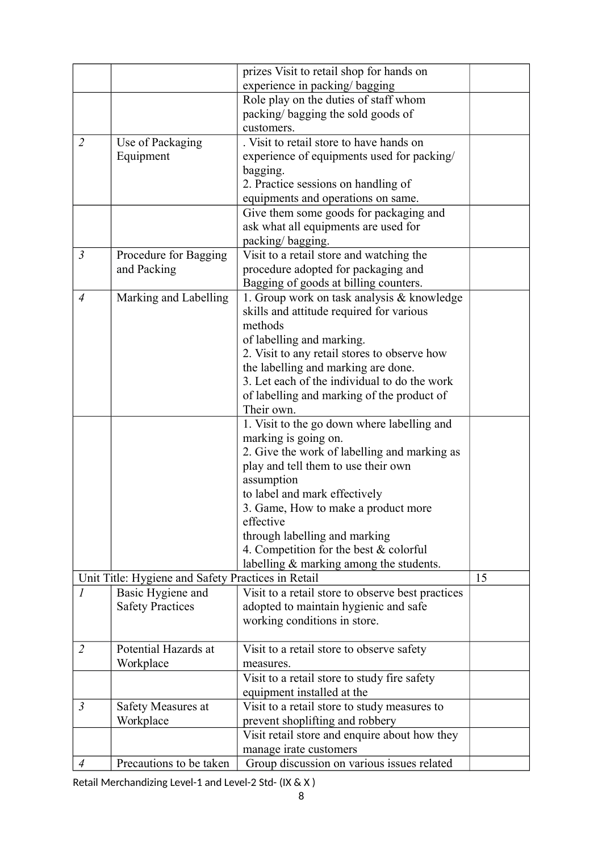|                |                                                    | prizes Visit to retail shop for hands on          |    |
|----------------|----------------------------------------------------|---------------------------------------------------|----|
|                |                                                    | experience in packing/ bagging                    |    |
|                |                                                    | Role play on the duties of staff whom             |    |
|                |                                                    | packing/bagging the sold goods of                 |    |
|                |                                                    | customers.                                        |    |
| $\overline{2}$ | Use of Packaging                                   | . Visit to retail store to have hands on          |    |
|                | Equipment                                          | experience of equipments used for packing/        |    |
|                |                                                    | bagging.                                          |    |
|                |                                                    | 2. Practice sessions on handling of               |    |
|                |                                                    | equipments and operations on same.                |    |
|                |                                                    | Give them some goods for packaging and            |    |
|                |                                                    | ask what all equipments are used for              |    |
|                |                                                    | packing/bagging.                                  |    |
| $\mathfrak{Z}$ | Procedure for Bagging                              | Visit to a retail store and watching the          |    |
|                | and Packing                                        | procedure adopted for packaging and               |    |
|                |                                                    | Bagging of goods at billing counters.             |    |
| $\overline{4}$ | Marking and Labelling                              | 1. Group work on task analysis & knowledge        |    |
|                |                                                    | skills and attitude required for various          |    |
|                |                                                    | methods                                           |    |
|                |                                                    | of labelling and marking.                         |    |
|                |                                                    | 2. Visit to any retail stores to observe how      |    |
|                |                                                    | the labelling and marking are done.               |    |
|                |                                                    | 3. Let each of the individual to do the work      |    |
|                |                                                    | of labelling and marking of the product of        |    |
|                |                                                    | Their own.                                        |    |
|                |                                                    | 1. Visit to the go down where labelling and       |    |
|                |                                                    | marking is going on.                              |    |
|                |                                                    | 2. Give the work of labelling and marking as      |    |
|                |                                                    | play and tell them to use their own               |    |
|                |                                                    | assumption                                        |    |
|                |                                                    | to label and mark effectively                     |    |
|                |                                                    | 3. Game, How to make a product more               |    |
|                |                                                    | effective                                         |    |
|                |                                                    | through labelling and marking                     |    |
|                |                                                    | 4. Competition for the best & colorful            |    |
|                |                                                    | labelling & marking among the students.           |    |
|                | Unit Title: Hygiene and Safety Practices in Retail |                                                   | 15 |
| $\mathcal{I}$  | Basic Hygiene and                                  | Visit to a retail store to observe best practices |    |
|                | <b>Safety Practices</b>                            | adopted to maintain hygienic and safe             |    |
|                |                                                    | working conditions in store.                      |    |
|                |                                                    |                                                   |    |
| $\overline{2}$ | Potential Hazards at                               | Visit to a retail store to observe safety         |    |
|                | Workplace                                          | measures.                                         |    |
|                |                                                    | Visit to a retail store to study fire safety      |    |
|                |                                                    | equipment installed at the                        |    |
| $\mathfrak{Z}$ | Safety Measures at                                 | Visit to a retail store to study measures to      |    |
|                | Workplace                                          | prevent shoplifting and robbery                   |    |
|                |                                                    | Visit retail store and enquire about how they     |    |
|                |                                                    | manage irate customers                            |    |
| 4              | Precautions to be taken                            | Group discussion on various issues related        |    |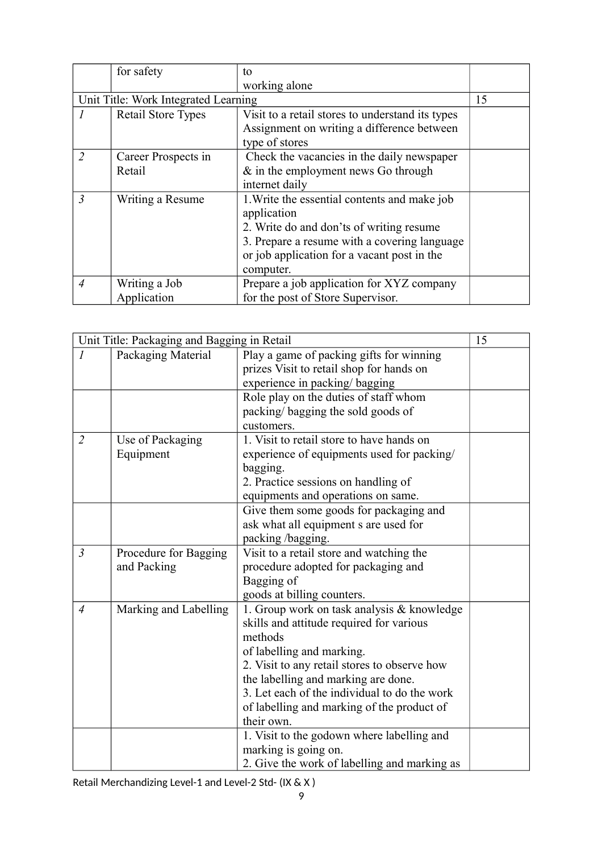|                | for safety                           | to                                               |    |
|----------------|--------------------------------------|--------------------------------------------------|----|
|                |                                      | working alone                                    |    |
|                | Unit Title: Work Integrated Learning |                                                  | 15 |
| $\prime$       | <b>Retail Store Types</b>            | Visit to a retail stores to understand its types |    |
|                |                                      | Assignment on writing a difference between       |    |
|                |                                      | type of stores                                   |    |
| $\overline{2}$ | Career Prospects in                  | Check the vacancies in the daily newspaper       |    |
|                | Retail                               | $\&$ in the employment news Go through           |    |
|                |                                      | internet daily                                   |    |
| $\overline{3}$ | Writing a Resume                     | 1. Write the essential contents and make job     |    |
|                |                                      | application                                      |    |
|                |                                      | 2. Write do and don'ts of writing resume         |    |
|                |                                      | 3. Prepare a resume with a covering language     |    |
|                |                                      | or job application for a vacant post in the      |    |
|                |                                      | computer.                                        |    |
| $\overline{4}$ | Writing a Job                        | Prepare a job application for XYZ company        |    |
|                | Application                          | for the post of Store Supervisor.                |    |

|                | Unit Title: Packaging and Bagging in Retail |                                              | 15 |
|----------------|---------------------------------------------|----------------------------------------------|----|
| $\mathcal{I}$  | Packaging Material                          | Play a game of packing gifts for winning     |    |
|                |                                             | prizes Visit to retail shop for hands on     |    |
|                |                                             | experience in packing/bagging                |    |
|                |                                             | Role play on the duties of staff whom        |    |
|                |                                             | packing/bagging the sold goods of            |    |
|                |                                             | customers.                                   |    |
| $\overline{2}$ | Use of Packaging                            | 1. Visit to retail store to have hands on    |    |
|                | Equipment                                   | experience of equipments used for packing/   |    |
|                |                                             | bagging.                                     |    |
|                |                                             | 2. Practice sessions on handling of          |    |
|                |                                             | equipments and operations on same.           |    |
|                |                                             | Give them some goods for packaging and       |    |
|                |                                             | ask what all equipment s are used for        |    |
|                |                                             | packing /bagging.                            |    |
| $\mathfrak{Z}$ | Procedure for Bagging                       | Visit to a retail store and watching the     |    |
|                | and Packing                                 | procedure adopted for packaging and          |    |
|                |                                             | Bagging of                                   |    |
|                |                                             | goods at billing counters.                   |    |
| $\overline{A}$ | Marking and Labelling                       | 1. Group work on task analysis & knowledge   |    |
|                |                                             | skills and attitude required for various     |    |
|                |                                             | methods                                      |    |
|                |                                             | of labelling and marking.                    |    |
|                |                                             | 2. Visit to any retail stores to observe how |    |
|                |                                             | the labelling and marking are done.          |    |
|                |                                             | 3. Let each of the individual to do the work |    |
|                |                                             | of labelling and marking of the product of   |    |
|                |                                             | their own.                                   |    |
|                |                                             | 1. Visit to the godown where labelling and   |    |
|                |                                             | marking is going on.                         |    |
|                |                                             | 2. Give the work of labelling and marking as |    |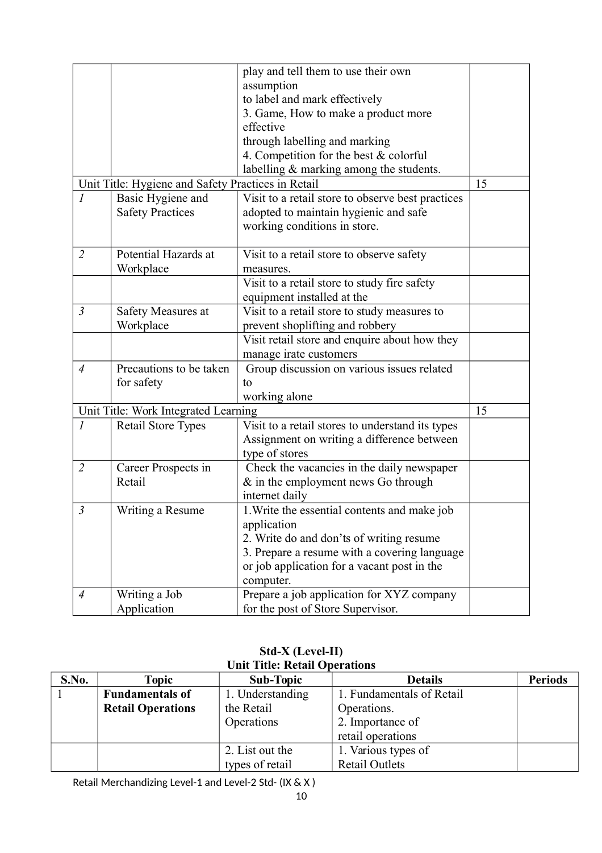|                |                                                    | play and tell them to use their own               |    |
|----------------|----------------------------------------------------|---------------------------------------------------|----|
|                |                                                    | assumption                                        |    |
|                |                                                    | to label and mark effectively                     |    |
|                |                                                    | 3. Game, How to make a product more               |    |
|                |                                                    | effective                                         |    |
|                |                                                    | through labelling and marking                     |    |
|                |                                                    | 4. Competition for the best $&$ colorful          |    |
|                |                                                    | labelling & marking among the students.           |    |
|                | Unit Title: Hygiene and Safety Practices in Retail |                                                   | 15 |
| $\mathcal{I}$  | Basic Hygiene and                                  | Visit to a retail store to observe best practices |    |
|                | <b>Safety Practices</b>                            | adopted to maintain hygienic and safe             |    |
|                |                                                    | working conditions in store.                      |    |
|                |                                                    |                                                   |    |
| $\overline{2}$ | Potential Hazards at                               | Visit to a retail store to observe safety         |    |
|                | Workplace                                          | measures.                                         |    |
|                |                                                    | Visit to a retail store to study fire safety      |    |
|                |                                                    | equipment installed at the                        |    |
| $\mathfrak{Z}$ | Safety Measures at                                 | Visit to a retail store to study measures to      |    |
|                | Workplace                                          | prevent shoplifting and robbery                   |    |
|                |                                                    | Visit retail store and enquire about how they     |    |
|                |                                                    | manage irate customers                            |    |
| $\overline{A}$ | Precautions to be taken                            | Group discussion on various issues related        |    |
|                | for safety                                         | to                                                |    |
|                |                                                    | working alone                                     |    |
|                | Unit Title: Work Integrated Learning               |                                                   | 15 |
| $\mathcal{I}$  | <b>Retail Store Types</b>                          | Visit to a retail stores to understand its types  |    |
|                |                                                    | Assignment on writing a difference between        |    |
|                |                                                    | type of stores                                    |    |
| $\overline{2}$ | Career Prospects in                                | Check the vacancies in the daily newspaper        |    |
|                | Retail                                             | $&$ in the employment news Go through             |    |
|                |                                                    | internet daily                                    |    |
| $\mathfrak{Z}$ | Writing a Resume                                   | 1. Write the essential contents and make job      |    |
|                |                                                    | application                                       |    |
|                |                                                    | 2. Write do and don'ts of writing resume          |    |
|                |                                                    | 3. Prepare a resume with a covering language      |    |
|                |                                                    | or job application for a vacant post in the       |    |
|                |                                                    | computer.                                         |    |
| $\overline{4}$ | Writing a Job                                      | Prepare a job application for XYZ company         |    |
|                | Application                                        | for the post of Store Supervisor.                 |    |

**Std-X (Level-II) Unit Title: Retail Operations**

| S.No. | <b>Topic</b>             | <b>Sub-Topic</b> | <b>Details</b>            | <b>Periods</b> |
|-------|--------------------------|------------------|---------------------------|----------------|
|       | <b>Fundamentals of</b>   | 1. Understanding | 1. Fundamentals of Retail |                |
|       | <b>Retail Operations</b> | the Retail       | Operations.               |                |
|       |                          | Operations       | 2. Importance of          |                |
|       |                          |                  | retail operations         |                |
|       |                          | 2. List out the  | 1. Various types of       |                |
|       |                          | types of retail  | <b>Retail Outlets</b>     |                |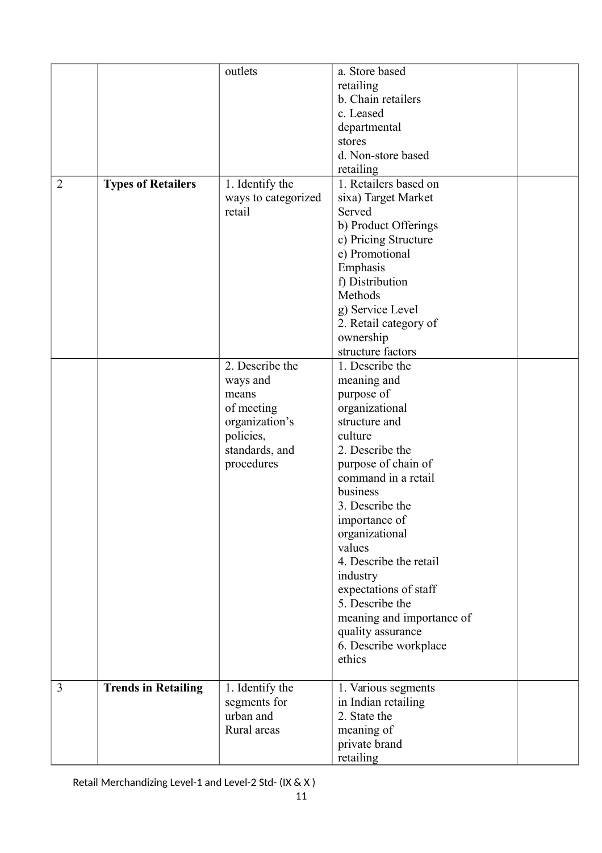|                |                            | outlets                   | a. Store based                      |  |
|----------------|----------------------------|---------------------------|-------------------------------------|--|
|                |                            |                           | retailing                           |  |
|                |                            |                           | b. Chain retailers                  |  |
|                |                            |                           | c. Leased                           |  |
|                |                            |                           | departmental                        |  |
|                |                            |                           | stores                              |  |
|                |                            |                           | d. Non-store based                  |  |
|                |                            |                           | retailing                           |  |
| $\overline{2}$ | <b>Types of Retailers</b>  | 1. Identify the           | 1. Retailers based on               |  |
|                |                            | ways to categorized       | sixa) Target Market                 |  |
|                |                            | retail                    | Served                              |  |
|                |                            |                           | b) Product Offerings                |  |
|                |                            |                           | c) Pricing Structure                |  |
|                |                            |                           | e) Promotional                      |  |
|                |                            |                           | Emphasis                            |  |
|                |                            |                           | f) Distribution                     |  |
|                |                            |                           | Methods                             |  |
|                |                            |                           |                                     |  |
|                |                            |                           | g) Service Level                    |  |
|                |                            |                           | 2. Retail category of               |  |
|                |                            |                           | ownership<br>structure factors      |  |
|                |                            | 2. Describe the           |                                     |  |
|                |                            |                           | 1. Describe the                     |  |
|                |                            | ways and                  | meaning and                         |  |
|                |                            | means                     | purpose of                          |  |
|                |                            | of meeting                | organizational                      |  |
|                |                            | organization's            | structure and                       |  |
|                |                            | policies,                 | culture                             |  |
|                |                            | standards, and            | 2. Describe the                     |  |
|                |                            | procedures                | purpose of chain of                 |  |
|                |                            |                           | command in a retail                 |  |
|                |                            |                           | business                            |  |
|                |                            |                           | 3. Describe the                     |  |
|                |                            |                           | importance of                       |  |
|                |                            |                           | organizational                      |  |
|                |                            |                           | values                              |  |
|                |                            |                           | 4. Describe the retail              |  |
|                |                            |                           | industry                            |  |
|                |                            |                           | expectations of staff               |  |
|                |                            |                           | 5. Describe the                     |  |
|                |                            |                           | meaning and importance of           |  |
|                |                            |                           | quality assurance                   |  |
|                |                            |                           | 6. Describe workplace               |  |
|                |                            |                           | ethics                              |  |
| 3              |                            |                           |                                     |  |
|                | <b>Trends in Retailing</b> | 1. Identify the           | 1. Various segments                 |  |
|                |                            | segments for<br>urban and | in Indian retailing<br>2. State the |  |
|                |                            | Rural areas               |                                     |  |
|                |                            |                           | meaning of                          |  |
|                |                            |                           | private brand                       |  |
|                |                            |                           | retailing                           |  |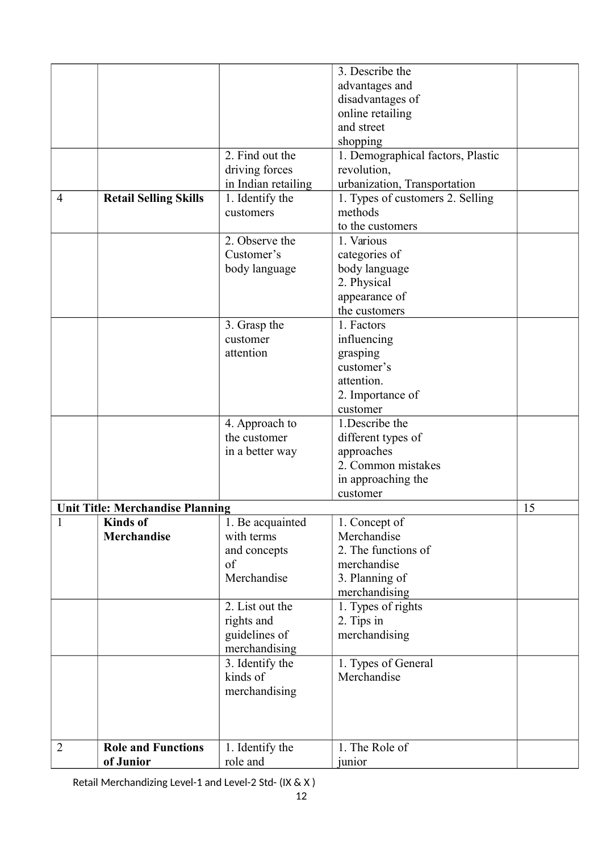|                |                                         |                     | 3. Describe the                   |    |
|----------------|-----------------------------------------|---------------------|-----------------------------------|----|
|                |                                         |                     | advantages and                    |    |
|                |                                         |                     | disadvantages of                  |    |
|                |                                         |                     |                                   |    |
|                |                                         |                     | online retailing                  |    |
|                |                                         |                     | and street                        |    |
|                |                                         |                     | shopping                          |    |
|                |                                         | 2. Find out the     | 1. Demographical factors, Plastic |    |
|                |                                         | driving forces      | revolution,                       |    |
|                |                                         | in Indian retailing | urbanization, Transportation      |    |
| 4              | <b>Retail Selling Skills</b>            | 1. Identify the     | 1. Types of customers 2. Selling  |    |
|                |                                         | customers           | methods                           |    |
|                |                                         |                     | to the customers                  |    |
|                |                                         | 2. Observe the      | 1. Various                        |    |
|                |                                         | Customer's          | categories of                     |    |
|                |                                         | body language       | body language                     |    |
|                |                                         |                     |                                   |    |
|                |                                         |                     | 2. Physical                       |    |
|                |                                         |                     | appearance of                     |    |
|                |                                         |                     | the customers                     |    |
|                |                                         | 3. Grasp the        | 1. Factors                        |    |
|                |                                         | customer            | influencing                       |    |
|                |                                         | attention           | grasping                          |    |
|                |                                         |                     | customer's                        |    |
|                |                                         |                     | attention.                        |    |
|                |                                         |                     | 2. Importance of                  |    |
|                |                                         |                     | customer                          |    |
|                |                                         | 4. Approach to      | 1. Describe the                   |    |
|                |                                         | the customer        | different types of                |    |
|                |                                         | in a better way     | approaches                        |    |
|                |                                         |                     | 2. Common mistakes                |    |
|                |                                         |                     | in approaching the                |    |
|                |                                         |                     | customer                          |    |
|                | <b>Unit Title: Merchandise Planning</b> |                     |                                   | 15 |
| 1              | <b>Kinds</b> of                         | 1. Be acquainted    | 1. Concept of                     |    |
|                | <b>Merchandise</b>                      | with terms          | Merchandise                       |    |
|                |                                         | and concepts        | 2. The functions of               |    |
|                |                                         | of                  | merchandise                       |    |
|                |                                         | Merchandise         |                                   |    |
|                |                                         |                     | 3. Planning of                    |    |
|                |                                         |                     | merchandising                     |    |
|                |                                         | 2. List out the     | 1. Types of rights                |    |
|                |                                         | rights and          | 2. Tips in                        |    |
|                |                                         | guidelines of       | merchandising                     |    |
|                |                                         | merchandising       |                                   |    |
|                |                                         | 3. Identify the     | 1. Types of General               |    |
|                |                                         | kinds of            | Merchandise                       |    |
|                |                                         | merchandising       |                                   |    |
|                |                                         |                     |                                   |    |
|                |                                         |                     |                                   |    |
|                |                                         |                     |                                   |    |
| $\overline{2}$ | <b>Role and Functions</b>               | 1. Identify the     | 1. The Role of                    |    |
|                | of Junior                               | role and            | junior                            |    |
|                |                                         |                     |                                   |    |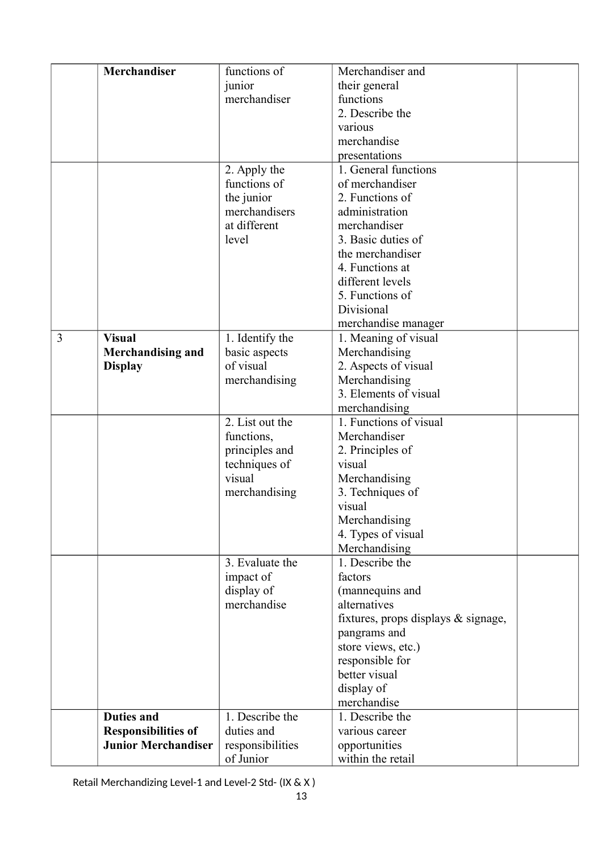|   | <b>Merchandiser</b>        | functions of     | Merchandiser and                       |  |
|---|----------------------------|------------------|----------------------------------------|--|
|   |                            | junior           | their general                          |  |
|   |                            | merchandiser     | functions                              |  |
|   |                            |                  | 2. Describe the                        |  |
|   |                            |                  | various                                |  |
|   |                            |                  | merchandise                            |  |
|   |                            |                  | presentations                          |  |
|   |                            | 2. Apply the     | 1. General functions                   |  |
|   |                            | functions of     | of merchandiser                        |  |
|   |                            | the junior       | 2. Functions of                        |  |
|   |                            | merchandisers    | administration                         |  |
|   |                            | at different     | merchandiser                           |  |
|   |                            | level            | 3. Basic duties of                     |  |
|   |                            |                  | the merchandiser                       |  |
|   |                            |                  | 4. Functions at                        |  |
|   |                            |                  | different levels                       |  |
|   |                            |                  | 5. Functions of                        |  |
|   |                            |                  | Divisional                             |  |
|   |                            |                  | merchandise manager                    |  |
| 3 | <b>Visual</b>              | 1. Identify the  | 1. Meaning of visual                   |  |
|   | <b>Merchandising and</b>   | basic aspects    | Merchandising                          |  |
|   | <b>Display</b>             | of visual        | 2. Aspects of visual                   |  |
|   |                            | merchandising    | Merchandising                          |  |
|   |                            |                  | 3. Elements of visual                  |  |
|   |                            |                  | merchandising                          |  |
|   |                            | 2. List out the  | 1. Functions of visual                 |  |
|   |                            | functions,       | Merchandiser                           |  |
|   |                            | principles and   | 2. Principles of                       |  |
|   |                            | techniques of    | visual                                 |  |
|   |                            | visual           | Merchandising                          |  |
|   |                            | merchandising    | 3. Techniques of                       |  |
|   |                            |                  | visual                                 |  |
|   |                            |                  | Merchandising                          |  |
|   |                            |                  | 4. Types of visual                     |  |
|   |                            |                  | Merchandising                          |  |
|   |                            | 3. Evaluate the  | 1. Describe the                        |  |
|   |                            | impact of        | factors                                |  |
|   |                            | display of       | (mannequins and                        |  |
|   |                            | merchandise      | alternatives                           |  |
|   |                            |                  | fixtures, props displays $\&$ signage, |  |
|   |                            |                  | pangrams and                           |  |
|   |                            |                  | store views, etc.)                     |  |
|   |                            |                  | responsible for                        |  |
|   |                            |                  | better visual                          |  |
|   |                            |                  | display of                             |  |
|   |                            |                  | merchandise                            |  |
|   | <b>Duties and</b>          | 1. Describe the  | 1. Describe the                        |  |
|   | <b>Responsibilities of</b> | duties and       | various career                         |  |
|   | <b>Junior Merchandiser</b> | responsibilities | opportunities                          |  |
|   |                            | of Junior        | within the retail                      |  |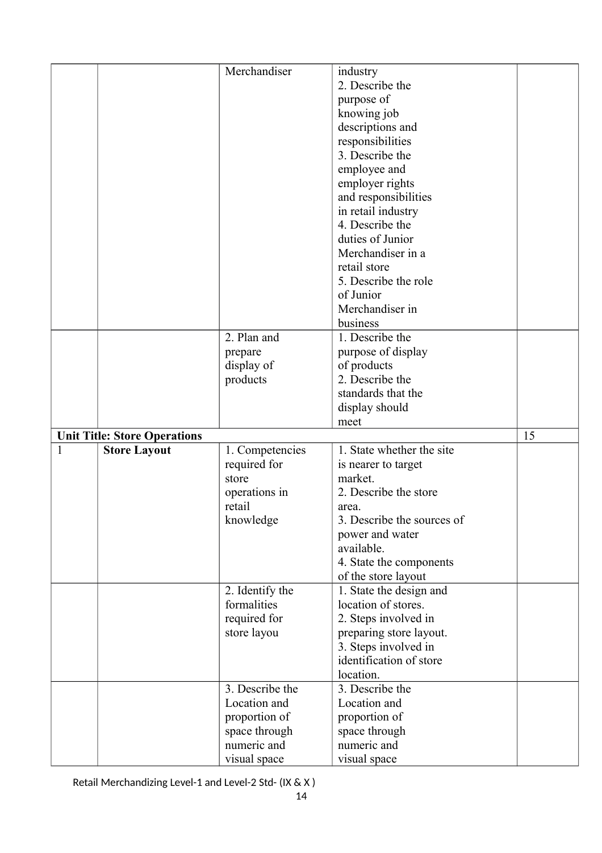|   |                                     | Merchandiser                | industry                    |    |
|---|-------------------------------------|-----------------------------|-----------------------------|----|
|   |                                     |                             | 2. Describe the             |    |
|   |                                     |                             | purpose of                  |    |
|   |                                     |                             | knowing job                 |    |
|   |                                     |                             | descriptions and            |    |
|   |                                     |                             | responsibilities            |    |
|   |                                     |                             | 3. Describe the             |    |
|   |                                     |                             | employee and                |    |
|   |                                     |                             | employer rights             |    |
|   |                                     |                             | and responsibilities        |    |
|   |                                     |                             | in retail industry          |    |
|   |                                     |                             | 4. Describe the             |    |
|   |                                     |                             | duties of Junior            |    |
|   |                                     |                             | Merchandiser in a           |    |
|   |                                     |                             | retail store                |    |
|   |                                     |                             | 5. Describe the role        |    |
|   |                                     |                             | of Junior                   |    |
|   |                                     |                             | Merchandiser in             |    |
|   |                                     |                             | business                    |    |
|   |                                     | 2. Plan and                 | 1. Describe the             |    |
|   |                                     | prepare                     | purpose of display          |    |
|   |                                     | display of                  | of products                 |    |
|   |                                     | products                    | 2. Describe the             |    |
|   |                                     |                             | standards that the          |    |
|   |                                     |                             | display should              |    |
|   |                                     |                             |                             |    |
|   |                                     |                             |                             |    |
|   |                                     |                             | meet                        |    |
|   | <b>Unit Title: Store Operations</b> |                             |                             | 15 |
| 1 | <b>Store Layout</b>                 | 1. Competencies             | 1. State whether the site   |    |
|   |                                     | required for                | is nearer to target         |    |
|   |                                     | store                       | market.                     |    |
|   |                                     | operations in               | 2. Describe the store       |    |
|   |                                     | retail                      | area.                       |    |
|   |                                     | knowledge                   | 3. Describe the sources of  |    |
|   |                                     |                             | power and water             |    |
|   |                                     |                             | available.                  |    |
|   |                                     |                             | 4. State the components     |    |
|   |                                     |                             | of the store layout         |    |
|   |                                     | 2. Identify the             | 1. State the design and     |    |
|   |                                     | formalities                 | location of stores.         |    |
|   |                                     | required for                | 2. Steps involved in        |    |
|   |                                     | store layou                 | preparing store layout.     |    |
|   |                                     |                             | 3. Steps involved in        |    |
|   |                                     |                             | identification of store     |    |
|   |                                     |                             | location.                   |    |
|   |                                     | 3. Describe the             | 3. Describe the             |    |
|   |                                     | Location and                | Location and                |    |
|   |                                     | proportion of               | proportion of               |    |
|   |                                     | space through               | space through               |    |
|   |                                     | numeric and<br>visual space | numeric and<br>visual space |    |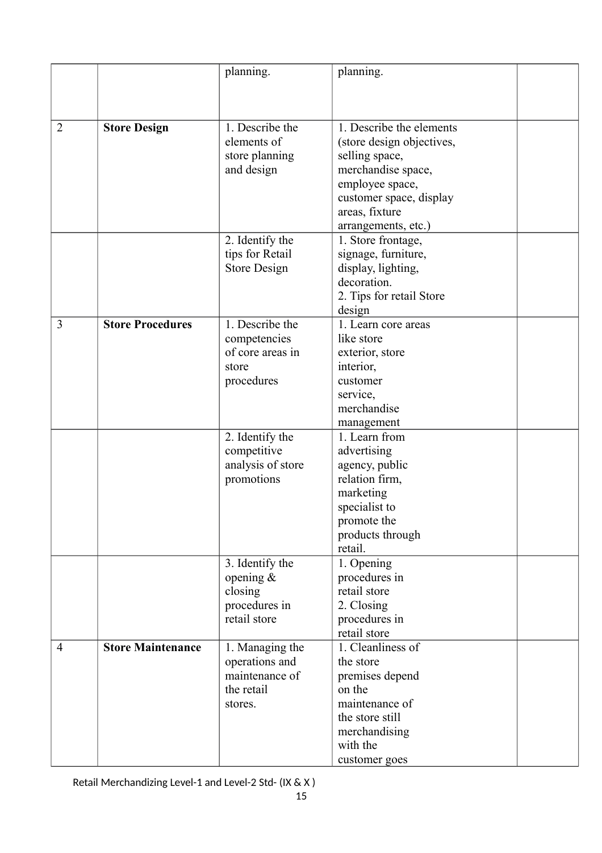|                |                          | planning.           | planning.                 |  |
|----------------|--------------------------|---------------------|---------------------------|--|
|                |                          |                     |                           |  |
|                |                          |                     |                           |  |
|                |                          |                     |                           |  |
| $\overline{2}$ | <b>Store Design</b>      | 1. Describe the     | 1. Describe the elements  |  |
|                |                          | elements of         | (store design objectives, |  |
|                |                          | store planning      | selling space,            |  |
|                |                          | and design          | merchandise space,        |  |
|                |                          |                     | employee space,           |  |
|                |                          |                     | customer space, display   |  |
|                |                          |                     | areas, fixture            |  |
|                |                          |                     | arrangements, etc.)       |  |
|                |                          | 2. Identify the     | 1. Store frontage,        |  |
|                |                          | tips for Retail     | signage, furniture,       |  |
|                |                          | <b>Store Design</b> | display, lighting,        |  |
|                |                          |                     | decoration.               |  |
|                |                          |                     | 2. Tips for retail Store  |  |
|                |                          |                     | design                    |  |
| 3              | <b>Store Procedures</b>  | 1. Describe the     | 1. Learn core areas       |  |
|                |                          |                     | like store                |  |
|                |                          | competencies        |                           |  |
|                |                          | of core areas in    | exterior, store           |  |
|                |                          | store               | interior,                 |  |
|                |                          | procedures          | customer                  |  |
|                |                          |                     | service,                  |  |
|                |                          |                     | merchandise               |  |
|                |                          |                     | management                |  |
|                |                          | 2. Identify the     | 1. Learn from             |  |
|                |                          | competitive         | advertising               |  |
|                |                          | analysis of store   | agency, public            |  |
|                |                          | promotions          | relation firm,            |  |
|                |                          |                     | marketing                 |  |
|                |                          |                     | specialist to             |  |
|                |                          |                     | promote the               |  |
|                |                          |                     | products through          |  |
|                |                          |                     | retail.                   |  |
|                |                          | 3. Identify the     | 1. Opening                |  |
|                |                          | opening $\&$        | procedures in             |  |
|                |                          | closing             | retail store              |  |
|                |                          | procedures in       | 2. Closing                |  |
|                |                          | retail store        | procedures in             |  |
|                |                          |                     | retail store              |  |
| $\overline{4}$ | <b>Store Maintenance</b> | 1. Managing the     | 1. Cleanliness of         |  |
|                |                          | operations and      | the store                 |  |
|                |                          | maintenance of      | premises depend           |  |
|                |                          | the retail          | on the                    |  |
|                |                          | stores.             | maintenance of            |  |
|                |                          |                     | the store still           |  |
|                |                          |                     | merchandising             |  |
|                |                          |                     | with the                  |  |
|                |                          |                     | customer goes             |  |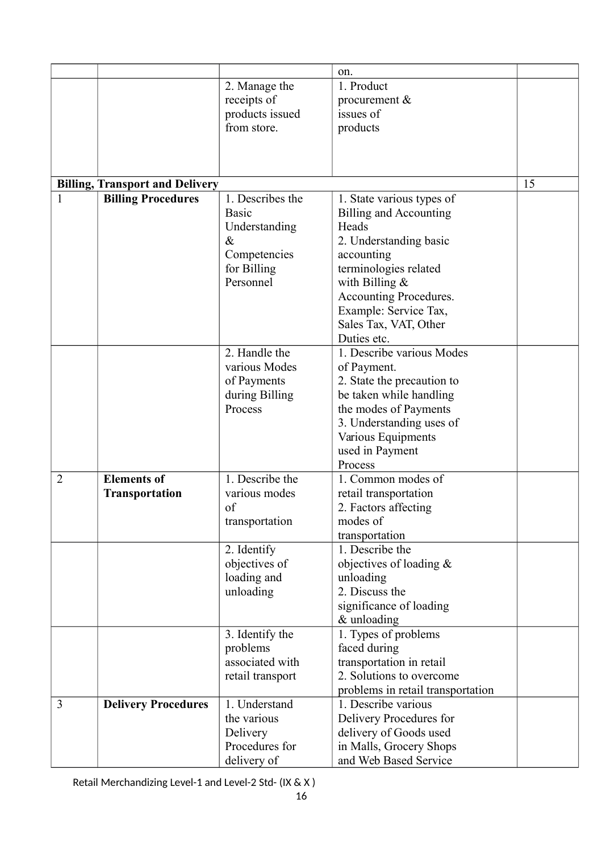|                |                                        |                  | on.                               |    |
|----------------|----------------------------------------|------------------|-----------------------------------|----|
|                |                                        | 2. Manage the    | 1. Product                        |    |
|                |                                        | receipts of      | procurement &                     |    |
|                |                                        | products issued  | issues of                         |    |
|                |                                        | from store.      | products                          |    |
|                |                                        |                  |                                   |    |
|                |                                        |                  |                                   |    |
|                |                                        |                  |                                   |    |
|                | <b>Billing, Transport and Delivery</b> |                  |                                   | 15 |
| $\mathbf{1}$   | <b>Billing Procedures</b>              | 1. Describes the | 1. State various types of         |    |
|                |                                        | <b>Basic</b>     | Billing and Accounting            |    |
|                |                                        | Understanding    | Heads                             |    |
|                |                                        | $\&$             | 2. Understanding basic            |    |
|                |                                        | Competencies     | accounting                        |    |
|                |                                        | for Billing      | terminologies related             |    |
|                |                                        | Personnel        | with Billing $&$                  |    |
|                |                                        |                  | Accounting Procedures.            |    |
|                |                                        |                  | Example: Service Tax,             |    |
|                |                                        |                  | Sales Tax, VAT, Other             |    |
|                |                                        |                  | Duties etc.                       |    |
|                |                                        | 2. Handle the    | 1. Describe various Modes         |    |
|                |                                        | various Modes    | of Payment.                       |    |
|                |                                        | of Payments      | 2. State the precaution to        |    |
|                |                                        | during Billing   | be taken while handling           |    |
|                |                                        | Process          | the modes of Payments             |    |
|                |                                        |                  | 3. Understanding uses of          |    |
|                |                                        |                  | Various Equipments                |    |
|                |                                        |                  | used in Payment                   |    |
|                |                                        |                  | Process                           |    |
| $\overline{2}$ | <b>Elements of</b>                     | 1. Describe the  | 1. Common modes of                |    |
|                | <b>Transportation</b>                  | various modes    | retail transportation             |    |
|                |                                        | of               | 2. Factors affecting              |    |
|                |                                        | transportation   | modes of                          |    |
|                |                                        |                  | transportation                    |    |
|                |                                        | 2. Identify      | 1. Describe the                   |    |
|                |                                        | objectives of    | objectives of loading $\&$        |    |
|                |                                        | loading and      | unloading                         |    |
|                |                                        | unloading        | 2. Discuss the                    |    |
|                |                                        |                  | significance of loading           |    |
|                |                                        |                  | & unloading                       |    |
|                |                                        | 3. Identify the  | 1. Types of problems              |    |
|                |                                        | problems         | faced during                      |    |
|                |                                        | associated with  | transportation in retail          |    |
|                |                                        | retail transport | 2. Solutions to overcome          |    |
|                |                                        |                  | problems in retail transportation |    |
| 3              | <b>Delivery Procedures</b>             | 1. Understand    | 1. Describe various               |    |
|                |                                        | the various      | Delivery Procedures for           |    |
|                |                                        | Delivery         | delivery of Goods used            |    |
|                |                                        | Procedures for   | in Malls, Grocery Shops           |    |
|                |                                        | delivery of      | and Web Based Service             |    |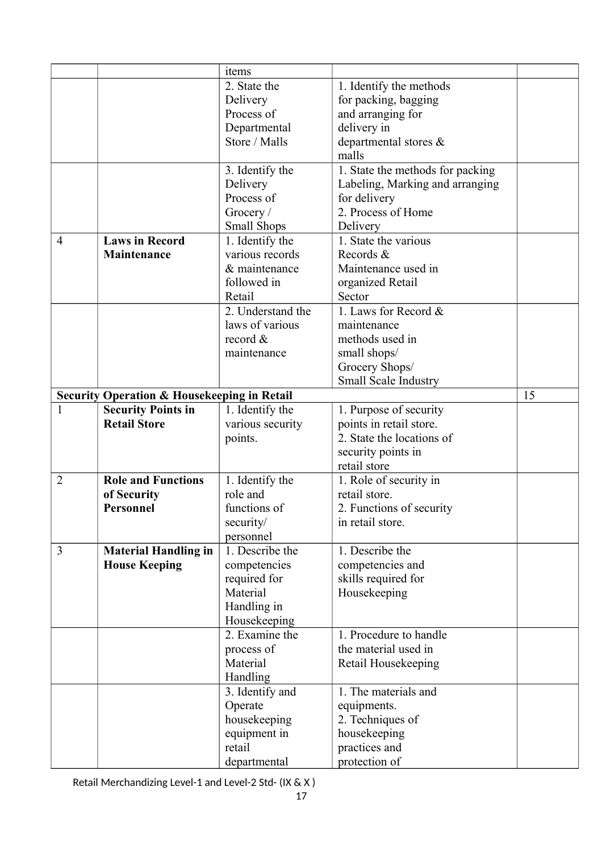|                |                                                        | items                                |                                  |    |
|----------------|--------------------------------------------------------|--------------------------------------|----------------------------------|----|
|                |                                                        | 2. State the                         | 1. Identify the methods          |    |
|                |                                                        | Delivery                             | for packing, bagging             |    |
|                |                                                        | Process of                           | and arranging for                |    |
|                |                                                        | Departmental                         | delivery in                      |    |
|                |                                                        | Store / Malls                        | departmental stores &            |    |
|                |                                                        |                                      | malls                            |    |
|                |                                                        | 3. Identify the                      | 1. State the methods for packing |    |
|                |                                                        | Delivery                             | Labeling, Marking and arranging  |    |
|                |                                                        | Process of                           | for delivery                     |    |
|                |                                                        | Grocery /                            | 2. Process of Home               |    |
|                |                                                        | <b>Small Shops</b>                   | Delivery                         |    |
| 4              | <b>Laws in Record</b>                                  | 1. Identify the                      | 1. State the various             |    |
|                | Maintenance                                            | various records                      | Records &                        |    |
|                |                                                        | & maintenance                        | Maintenance used in              |    |
|                |                                                        | followed in                          |                                  |    |
|                |                                                        |                                      | organized Retail                 |    |
|                |                                                        | Retail                               | Sector                           |    |
|                |                                                        | 2. Understand the<br>laws of various | 1. Laws for Record &             |    |
|                |                                                        |                                      | maintenance                      |    |
|                |                                                        | record $\&$                          | methods used in                  |    |
|                |                                                        | maintenance                          | small shops/                     |    |
|                |                                                        |                                      | Grocery Shops/                   |    |
|                |                                                        |                                      | Small Scale Industry             |    |
|                | <b>Security Operation &amp; Housekeeping in Retail</b> |                                      |                                  | 15 |
| 1              | <b>Security Points in</b>                              | 1. Identify the                      | 1. Purpose of security           |    |
|                | <b>Retail Store</b>                                    | various security                     | points in retail store.          |    |
|                |                                                        | points.                              | 2. State the locations of        |    |
|                |                                                        |                                      | security points in               |    |
|                |                                                        |                                      | retail store                     |    |
| $\overline{2}$ | <b>Role and Functions</b>                              | 1. Identify the                      | 1. Role of security in           |    |
|                | of Security                                            | role and                             | retail store.                    |    |
|                | <b>Personnel</b>                                       | functions of                         | 2. Functions of security         |    |
|                |                                                        | security/                            | in retail store.                 |    |
|                |                                                        | personnel                            |                                  |    |
| 3              | <b>Material Handling in</b>                            | 1. Describe the                      | 1. Describe the                  |    |
|                | <b>House Keeping</b>                                   | competencies                         | competencies and                 |    |
|                |                                                        | required for                         | skills required for              |    |
|                |                                                        | Material                             | Housekeeping                     |    |
|                |                                                        | Handling in                          |                                  |    |
|                |                                                        | Housekeeping                         |                                  |    |
|                |                                                        | 2. Examine the                       | 1. Procedure to handle           |    |
|                |                                                        | process of                           | the material used in             |    |
|                |                                                        | Material                             | Retail Housekeeping              |    |
|                |                                                        | Handling                             |                                  |    |
|                |                                                        | 3. Identify and                      | 1. The materials and             |    |
|                |                                                        | Operate                              | equipments.                      |    |
|                |                                                        | housekeeping                         | 2. Techniques of                 |    |
|                |                                                        | equipment in                         | housekeeping                     |    |
|                |                                                        | retail                               | practices and                    |    |
|                |                                                        | departmental                         | protection of                    |    |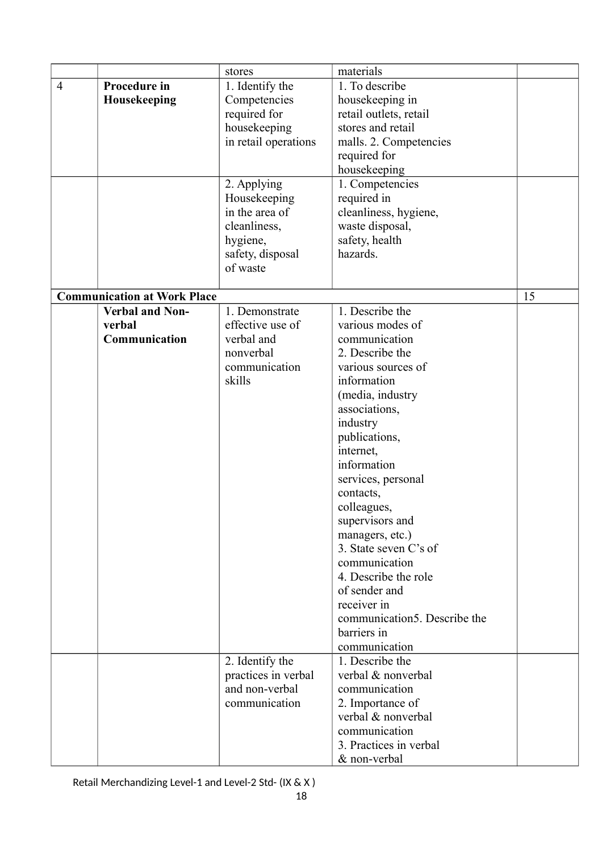|                |                                    | stores               | materials                    |    |
|----------------|------------------------------------|----------------------|------------------------------|----|
| $\overline{4}$ | Procedure in                       | 1. Identify the      | 1. To describe               |    |
|                | Housekeeping                       | Competencies         | housekeeping in              |    |
|                |                                    | required for         | retail outlets, retail       |    |
|                |                                    | housekeeping         | stores and retail            |    |
|                |                                    | in retail operations | malls. 2. Competencies       |    |
|                |                                    |                      | required for                 |    |
|                |                                    |                      | housekeeping                 |    |
|                |                                    | 2. Applying          | 1. Competencies              |    |
|                |                                    | Housekeeping         | required in                  |    |
|                |                                    | in the area of       | cleanliness, hygiene,        |    |
|                |                                    |                      |                              |    |
|                |                                    | cleanliness,         | waste disposal,              |    |
|                |                                    | hygiene,             | safety, health               |    |
|                |                                    | safety, disposal     | hazards.                     |    |
|                |                                    | of waste             |                              |    |
|                | <b>Communication at Work Place</b> |                      |                              | 15 |
|                | <b>Verbal and Non-</b>             | 1. Demonstrate       | 1. Describe the              |    |
|                |                                    | effective use of     | various modes of             |    |
|                | verbal<br>Communication            | verbal and           |                              |    |
|                |                                    |                      | communication                |    |
|                |                                    | nonverbal            | 2. Describe the              |    |
|                |                                    | communication        | various sources of           |    |
|                |                                    | skills               | information                  |    |
|                |                                    |                      | (media, industry             |    |
|                |                                    |                      | associations,                |    |
|                |                                    |                      | industry                     |    |
|                |                                    |                      | publications,                |    |
|                |                                    |                      | internet,                    |    |
|                |                                    |                      | information                  |    |
|                |                                    |                      | services, personal           |    |
|                |                                    |                      | contacts,                    |    |
|                |                                    |                      | colleagues,                  |    |
|                |                                    |                      | supervisors and              |    |
|                |                                    |                      | managers, etc.)              |    |
|                |                                    |                      | 3. State seven C's of        |    |
|                |                                    |                      | communication                |    |
|                |                                    |                      | 4. Describe the role         |    |
|                |                                    |                      | of sender and                |    |
|                |                                    |                      | receiver in                  |    |
|                |                                    |                      | communication5. Describe the |    |
|                |                                    |                      | barriers in                  |    |
|                |                                    |                      | communication                |    |
|                |                                    | 2. Identify the      | 1. Describe the              |    |
|                |                                    | practices in verbal  | verbal & nonverbal           |    |
|                |                                    | and non-verbal       | communication                |    |
|                |                                    | communication        | 2. Importance of             |    |
|                |                                    |                      | verbal & nonverbal           |    |
|                |                                    |                      | communication                |    |
|                |                                    |                      | 3. Practices in verbal       |    |
|                |                                    |                      | & non-verbal                 |    |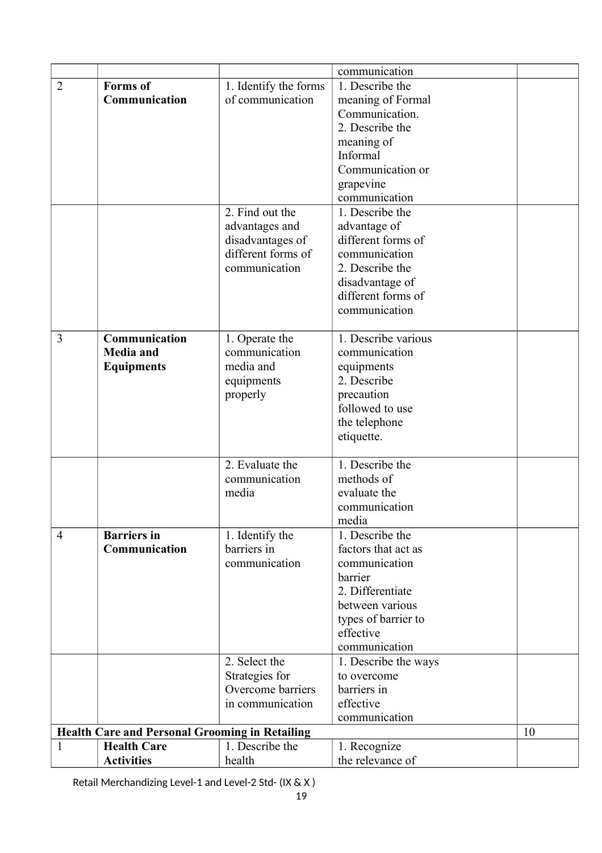|                |                                                       |                       | communication        |    |
|----------------|-------------------------------------------------------|-----------------------|----------------------|----|
| $\overline{2}$ | <b>Forms</b> of                                       | 1. Identify the forms | 1. Describe the      |    |
|                | Communication                                         | of communication      | meaning of Formal    |    |
|                |                                                       |                       | Communication.       |    |
|                |                                                       |                       | 2. Describe the      |    |
|                |                                                       |                       | meaning of           |    |
|                |                                                       |                       | Informal             |    |
|                |                                                       |                       | Communication or     |    |
|                |                                                       |                       | grapevine            |    |
|                |                                                       |                       | communication        |    |
|                |                                                       | 2. Find out the       | 1. Describe the      |    |
|                |                                                       | advantages and        | advantage of         |    |
|                |                                                       | disadvantages of      | different forms of   |    |
|                |                                                       | different forms of    | communication        |    |
|                |                                                       | communication         | 2. Describe the      |    |
|                |                                                       |                       | disadvantage of      |    |
|                |                                                       |                       | different forms of   |    |
|                |                                                       |                       | communication        |    |
|                |                                                       |                       |                      |    |
| 3              | Communication                                         | 1. Operate the        | 1. Describe various  |    |
|                | <b>Media</b> and                                      | communication         | communication        |    |
|                | <b>Equipments</b>                                     | media and             | equipments           |    |
|                |                                                       | equipments            | 2. Describe          |    |
|                |                                                       | properly              | precaution           |    |
|                |                                                       |                       | followed to use      |    |
|                |                                                       |                       | the telephone        |    |
|                |                                                       |                       | etiquette.           |    |
|                |                                                       | 2. Evaluate the       | 1. Describe the      |    |
|                |                                                       | communication         | methods of           |    |
|                |                                                       | media                 | evaluate the         |    |
|                |                                                       |                       | communication        |    |
|                |                                                       |                       | media                |    |
| $\overline{4}$ | <b>Barriers</b> in                                    | 1. Identify the       | 1. Describe the      |    |
|                | Communication                                         | barriers in           | factors that act as  |    |
|                |                                                       | communication         | communication        |    |
|                |                                                       |                       | barrier              |    |
|                |                                                       |                       | 2. Differentiate     |    |
|                |                                                       |                       | between various      |    |
|                |                                                       |                       | types of barrier to  |    |
|                |                                                       |                       | effective            |    |
|                |                                                       |                       | communication        |    |
|                |                                                       | 2. Select the         | 1. Describe the ways |    |
|                |                                                       | Strategies for        | to overcome          |    |
|                |                                                       | Overcome barriers     | barriers in          |    |
|                |                                                       | in communication      | effective            |    |
|                |                                                       |                       | communication        |    |
|                | <b>Health Care and Personal Grooming in Retailing</b> |                       |                      | 10 |
| 1              | <b>Health Care</b>                                    | 1. Describe the       | 1. Recognize         |    |
|                | <b>Activities</b>                                     | health                | the relevance of     |    |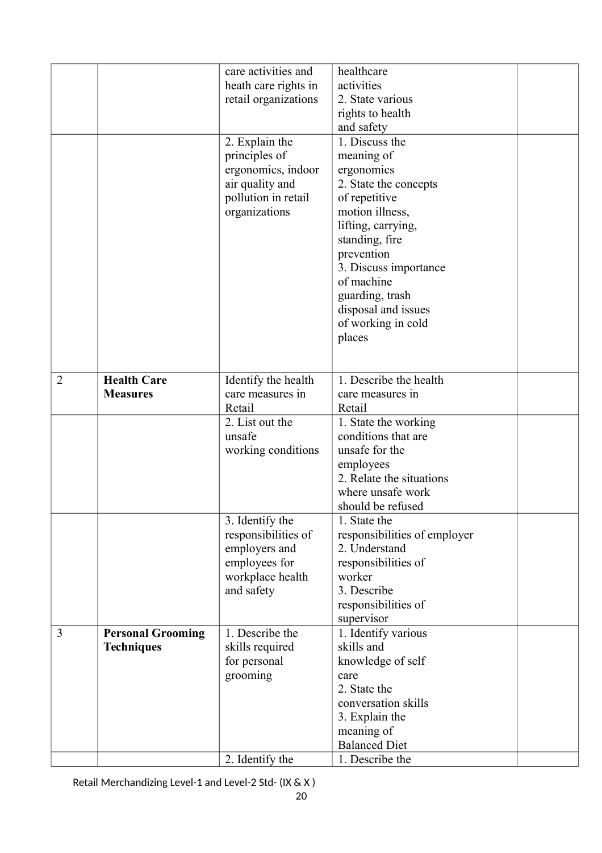|   |                          | care activities and  | healthcare                   |  |
|---|--------------------------|----------------------|------------------------------|--|
|   |                          | heath care rights in | activities                   |  |
|   |                          | retail organizations | 2. State various             |  |
|   |                          |                      | rights to health             |  |
|   |                          |                      | and safety                   |  |
|   |                          | 2. Explain the       | 1. Discuss the               |  |
|   |                          | principles of        | meaning of                   |  |
|   |                          | ergonomics, indoor   | ergonomics                   |  |
|   |                          | air quality and      | 2. State the concepts        |  |
|   |                          | pollution in retail  | of repetitive                |  |
|   |                          | organizations        | motion illness,              |  |
|   |                          |                      | lifting, carrying,           |  |
|   |                          |                      | standing, fire               |  |
|   |                          |                      | prevention                   |  |
|   |                          |                      | 3. Discuss importance        |  |
|   |                          |                      | of machine                   |  |
|   |                          |                      | guarding, trash              |  |
|   |                          |                      | disposal and issues          |  |
|   |                          |                      | of working in cold           |  |
|   |                          |                      | places                       |  |
|   |                          |                      |                              |  |
|   |                          |                      |                              |  |
| 2 | <b>Health Care</b>       | Identify the health  | 1. Describe the health       |  |
|   | <b>Measures</b>          | care measures in     | care measures in             |  |
|   |                          | Retail               | Retail                       |  |
|   |                          | 2. List out the      | 1. State the working         |  |
|   |                          | unsafe               | conditions that are          |  |
|   |                          | working conditions   | unsafe for the               |  |
|   |                          |                      | employees                    |  |
|   |                          |                      | 2. Relate the situations     |  |
|   |                          |                      | where unsafe work            |  |
|   |                          |                      | should be refused            |  |
|   |                          | 3. Identify the      | 1. State the                 |  |
|   |                          | responsibilities of  | responsibilities of employer |  |
|   |                          | employers and        | 2. Understand                |  |
|   |                          | employees for        | responsibilities of          |  |
|   |                          | workplace health     | worker                       |  |
|   |                          | and safety           | 3. Describe                  |  |
|   |                          |                      | responsibilities of          |  |
|   |                          |                      | supervisor                   |  |
| 3 | <b>Personal Grooming</b> | 1. Describe the      | 1. Identify various          |  |
|   | <b>Techniques</b>        | skills required      | skills and                   |  |
|   |                          | for personal         | knowledge of self            |  |
|   |                          | grooming             | care                         |  |
|   |                          |                      | 2. State the                 |  |
|   |                          |                      | conversation skills          |  |
|   |                          |                      | 3. Explain the               |  |
|   |                          |                      | meaning of                   |  |
|   |                          |                      | <b>Balanced Diet</b>         |  |
|   |                          | 2. Identify the      | 1. Describe the              |  |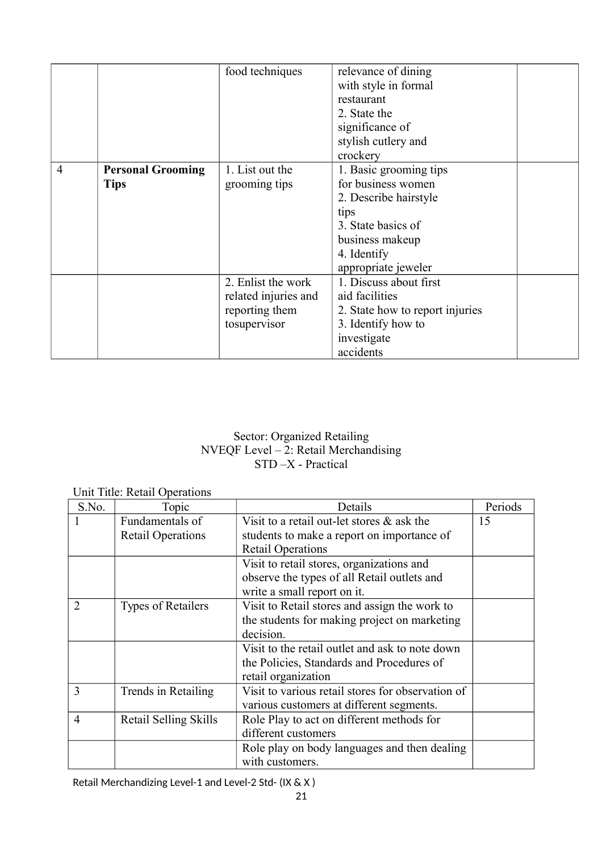|   |                          | food techniques      | relevance of dining             |  |
|---|--------------------------|----------------------|---------------------------------|--|
|   |                          |                      | with style in formal            |  |
|   |                          |                      | restaurant                      |  |
|   |                          |                      | 2. State the                    |  |
|   |                          |                      | significance of                 |  |
|   |                          |                      | stylish cutlery and             |  |
|   |                          |                      | crockery                        |  |
| 4 | <b>Personal Grooming</b> | 1. List out the      | 1. Basic grooming tips          |  |
|   | <b>Tips</b>              | grooming tips        | for business women              |  |
|   |                          |                      | 2. Describe hairstyle           |  |
|   |                          |                      | tips                            |  |
|   |                          |                      | 3. State basics of              |  |
|   |                          |                      | business makeup                 |  |
|   |                          |                      | 4. Identify                     |  |
|   |                          |                      | appropriate jeweler             |  |
|   |                          | 2. Enlist the work   | 1. Discuss about first          |  |
|   |                          | related injuries and | aid facilities                  |  |
|   |                          | reporting them       | 2. State how to report injuries |  |
|   |                          | tosupervisor         | 3. Identify how to              |  |
|   |                          |                      | investigate                     |  |
|   |                          |                      | accidents                       |  |

## Sector: Organized Retailing NVEQF Level – 2: Retail Merchandising STD –X - Practical

|                             | UIIII TIILE. KUMII OPUMUUIIS |                                                   |         |
|-----------------------------|------------------------------|---------------------------------------------------|---------|
| S.No.                       | Topic                        | Details                                           | Periods |
|                             | Fundamentals of              | Visit to a retail out-let stores $\&$ ask the     | 15      |
|                             | <b>Retail Operations</b>     | students to make a report on importance of        |         |
|                             |                              | <b>Retail Operations</b>                          |         |
|                             |                              | Visit to retail stores, organizations and         |         |
|                             |                              | observe the types of all Retail outlets and       |         |
|                             |                              | write a small report on it.                       |         |
| $\mathcal{D}_{\mathcal{L}}$ | <b>Types of Retailers</b>    | Visit to Retail stores and assign the work to     |         |
|                             |                              | the students for making project on marketing      |         |
|                             |                              | decision.                                         |         |
|                             |                              | Visit to the retail outlet and ask to note down   |         |
|                             |                              | the Policies, Standards and Procedures of         |         |
|                             |                              | retail organization                               |         |
| 3                           | Trends in Retailing          | Visit to various retail stores for observation of |         |
|                             |                              | various customers at different segments.          |         |
| 4                           | Retail Selling Skills        | Role Play to act on different methods for         |         |
|                             |                              | different customers                               |         |
|                             |                              | Role play on body languages and then dealing      |         |
|                             |                              | with customers.                                   |         |

Unit Title: Retail Operations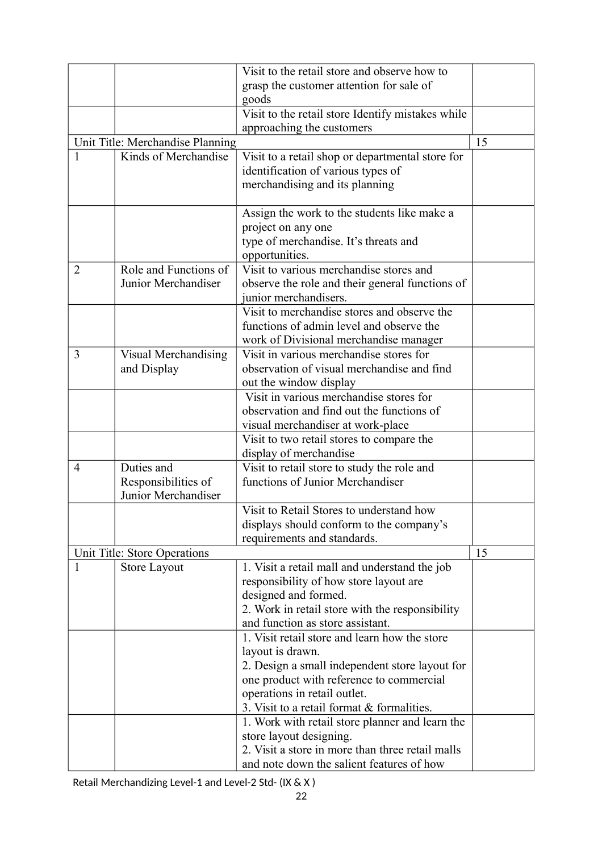|                                  |                       | Visit to the retail store and observe how to      |    |
|----------------------------------|-----------------------|---------------------------------------------------|----|
|                                  |                       | grasp the customer attention for sale of          |    |
|                                  |                       | goods                                             |    |
|                                  |                       | Visit to the retail store Identify mistakes while |    |
|                                  |                       | approaching the customers                         |    |
| Unit Title: Merchandise Planning |                       |                                                   | 15 |
|                                  | Kinds of Merchandise  | Visit to a retail shop or departmental store for  |    |
|                                  |                       | identification of various types of                |    |
|                                  |                       | merchandising and its planning                    |    |
|                                  |                       |                                                   |    |
|                                  |                       | Assign the work to the students like make a       |    |
|                                  |                       | project on any one                                |    |
|                                  |                       | type of merchandise. It's threats and             |    |
|                                  |                       | opportunities.                                    |    |
| $\overline{2}$                   | Role and Functions of | Visit to various merchandise stores and           |    |
|                                  | Junior Merchandiser   | observe the role and their general functions of   |    |
|                                  |                       | junior merchandisers.                             |    |
|                                  |                       | Visit to merchandise stores and observe the       |    |
|                                  |                       | functions of admin level and observe the          |    |
|                                  |                       | work of Divisional merchandise manager            |    |
| 3                                | Visual Merchandising  | Visit in various merchandise stores for           |    |
|                                  | and Display           | observation of visual merchandise and find        |    |
|                                  |                       | out the window display                            |    |
|                                  |                       | Visit in various merchandise stores for           |    |
|                                  |                       | observation and find out the functions of         |    |
|                                  |                       | visual merchandiser at work-place                 |    |
|                                  |                       | Visit to two retail stores to compare the         |    |
|                                  |                       | display of merchandise                            |    |
| 4                                | Duties and            | Visit to retail store to study the role and       |    |
|                                  | Responsibilities of   | functions of Junior Merchandiser                  |    |
|                                  | Junior Merchandiser   |                                                   |    |
|                                  |                       | Visit to Retail Stores to understand how          |    |
|                                  |                       | displays should conform to the company's          |    |
|                                  |                       | requirements and standards.                       |    |
| Unit Title: Store Operations     |                       |                                                   | 15 |
| 1                                | <b>Store Layout</b>   | 1. Visit a retail mall and understand the job     |    |
|                                  |                       | responsibility of how store layout are            |    |
|                                  |                       | designed and formed.                              |    |
|                                  |                       | 2. Work in retail store with the responsibility   |    |
|                                  |                       | and function as store assistant.                  |    |
|                                  |                       | 1. Visit retail store and learn how the store     |    |
|                                  |                       | layout is drawn.                                  |    |
|                                  |                       | 2. Design a small independent store layout for    |    |
|                                  |                       | one product with reference to commercial          |    |
|                                  |                       | operations in retail outlet.                      |    |
|                                  |                       | 3. Visit to a retail format & formalities.        |    |
|                                  |                       | 1. Work with retail store planner and learn the   |    |
|                                  |                       | store layout designing.                           |    |
|                                  |                       | 2. Visit a store in more than three retail malls  |    |
|                                  |                       | and note down the salient features of how         |    |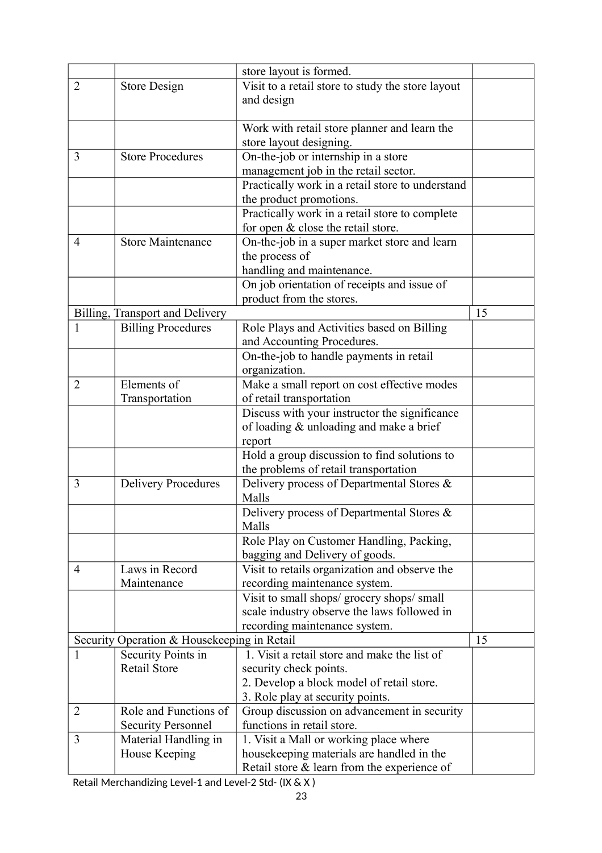|                                             |                                 | store layout is formed.                           |    |
|---------------------------------------------|---------------------------------|---------------------------------------------------|----|
| $\overline{2}$                              | <b>Store Design</b>             | Visit to a retail store to study the store layout |    |
|                                             |                                 | and design                                        |    |
|                                             |                                 |                                                   |    |
|                                             |                                 | Work with retail store planner and learn the      |    |
|                                             |                                 | store layout designing.                           |    |
| 3                                           | <b>Store Procedures</b>         | On-the-job or internship in a store               |    |
|                                             |                                 | management job in the retail sector.              |    |
|                                             |                                 | Practically work in a retail store to understand  |    |
|                                             |                                 | the product promotions.                           |    |
|                                             |                                 | Practically work in a retail store to complete    |    |
|                                             |                                 | for open $&$ close the retail store.              |    |
| 4                                           | <b>Store Maintenance</b>        | On-the-job in a super market store and learn      |    |
|                                             |                                 | the process of                                    |    |
|                                             |                                 | handling and maintenance.                         |    |
|                                             |                                 | On job orientation of receipts and issue of       |    |
|                                             |                                 | product from the stores.                          |    |
|                                             | Billing, Transport and Delivery |                                                   | 15 |
| 1                                           | <b>Billing Procedures</b>       | Role Plays and Activities based on Billing        |    |
|                                             |                                 | and Accounting Procedures.                        |    |
|                                             |                                 | On-the-job to handle payments in retail           |    |
|                                             |                                 | organization.                                     |    |
| $\overline{2}$                              | Elements of                     | Make a small report on cost effective modes       |    |
|                                             | Transportation                  | of retail transportation                          |    |
|                                             |                                 | Discuss with your instructor the significance     |    |
|                                             |                                 | of loading & unloading and make a brief           |    |
|                                             |                                 | report                                            |    |
|                                             |                                 | Hold a group discussion to find solutions to      |    |
|                                             |                                 | the problems of retail transportation             |    |
| 3                                           | <b>Delivery Procedures</b>      | Delivery process of Departmental Stores &         |    |
|                                             |                                 | Malls                                             |    |
|                                             |                                 | Delivery process of Departmental Stores &         |    |
|                                             |                                 | Malls                                             |    |
|                                             |                                 | Role Play on Customer Handling, Packing,          |    |
|                                             |                                 | bagging and Delivery of goods.                    |    |
| $\overline{4}$                              | Laws in Record                  | Visit to retails organization and observe the     |    |
|                                             | Maintenance                     | recording maintenance system.                     |    |
|                                             |                                 | Visit to small shops/ grocery shops/ small        |    |
|                                             |                                 | scale industry observe the laws followed in       |    |
|                                             |                                 | recording maintenance system.                     |    |
| Security Operation & Housekeeping in Retail |                                 | 15                                                |    |
| 1                                           | Security Points in              | 1. Visit a retail store and make the list of      |    |
|                                             | <b>Retail Store</b>             | security check points.                            |    |
|                                             |                                 | 2. Develop a block model of retail store.         |    |
|                                             |                                 | 3. Role play at security points.                  |    |
| $\overline{2}$                              | Role and Functions of           | Group discussion on advancement in security       |    |
|                                             | <b>Security Personnel</b>       | functions in retail store.                        |    |
| 3                                           | Material Handling in            | 1. Visit a Mall or working place where            |    |
|                                             | House Keeping                   | housekeeping materials are handled in the         |    |
|                                             |                                 | Retail store $&$ learn from the experience of     |    |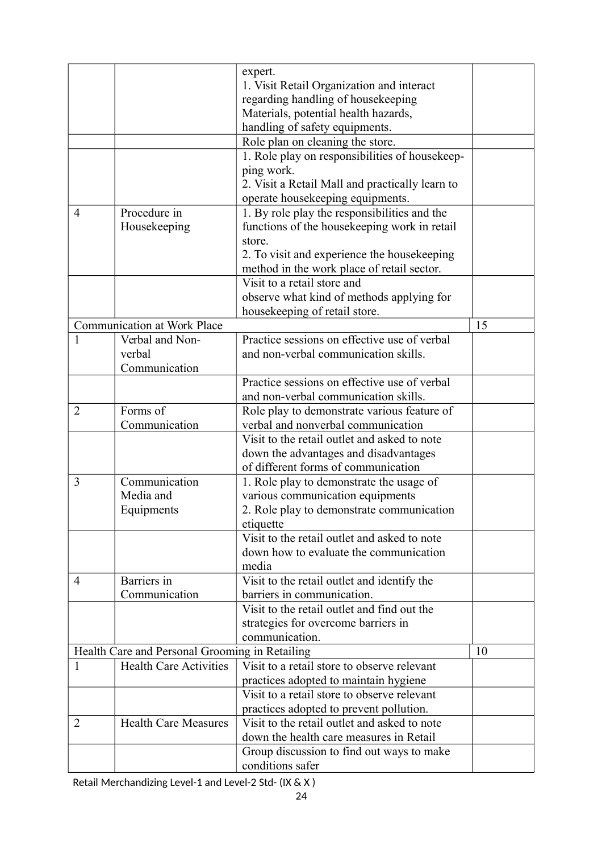|                                                |                                                       | expert.                                         |    |
|------------------------------------------------|-------------------------------------------------------|-------------------------------------------------|----|
|                                                |                                                       | 1. Visit Retail Organization and interact       |    |
|                                                |                                                       | regarding handling of housekeeping              |    |
|                                                |                                                       | Materials, potential health hazards,            |    |
|                                                |                                                       | handling of safety equipments.                  |    |
|                                                |                                                       | Role plan on cleaning the store.                |    |
|                                                |                                                       | 1. Role play on responsibilities of housekeep-  |    |
|                                                |                                                       | ping work.                                      |    |
|                                                |                                                       | 2. Visit a Retail Mall and practically learn to |    |
|                                                |                                                       | operate housekeeping equipments.                |    |
| $\overline{4}$                                 | Procedure in                                          | 1. By role play the responsibilities and the    |    |
|                                                | Housekeeping                                          | functions of the housekeeping work in retail    |    |
|                                                |                                                       | store.                                          |    |
|                                                |                                                       | 2. To visit and experience the housekeeping     |    |
|                                                |                                                       | method in the work place of retail sector.      |    |
|                                                |                                                       | Visit to a retail store and                     |    |
|                                                |                                                       |                                                 |    |
|                                                |                                                       | observe what kind of methods applying for       |    |
|                                                |                                                       | housekeeping of retail store.                   |    |
| $\mathbf{1}$                                   | <b>Communication at Work Place</b><br>Verbal and Non- | Practice sessions on effective use of verbal    | 15 |
|                                                |                                                       |                                                 |    |
|                                                | verbal                                                | and non-verbal communication skills.            |    |
|                                                | Communication                                         |                                                 |    |
|                                                |                                                       | Practice sessions on effective use of verbal    |    |
|                                                |                                                       | and non-verbal communication skills.            |    |
| $\overline{2}$                                 | Forms of                                              | Role play to demonstrate various feature of     |    |
|                                                | Communication                                         | verbal and nonverbal communication              |    |
|                                                |                                                       | Visit to the retail outlet and asked to note    |    |
|                                                |                                                       | down the advantages and disadvantages           |    |
|                                                |                                                       | of different forms of communication             |    |
| 3                                              | Communication                                         | 1. Role play to demonstrate the usage of        |    |
|                                                | Media and                                             | various communication equipments                |    |
|                                                | Equipments                                            | 2. Role play to demonstrate communication       |    |
|                                                |                                                       | etiquette                                       |    |
|                                                |                                                       | Visit to the retail outlet and asked to note    |    |
|                                                |                                                       | down how to evaluate the communication          |    |
|                                                |                                                       | media                                           |    |
| 4                                              | Barriers in                                           | Visit to the retail outlet and identify the     |    |
|                                                | Communication                                         | barriers in communication.                      |    |
|                                                |                                                       | Visit to the retail outlet and find out the     |    |
|                                                |                                                       | strategies for overcome barriers in             |    |
|                                                |                                                       | communication.                                  |    |
| Health Care and Personal Grooming in Retailing |                                                       |                                                 | 10 |
| 1                                              | <b>Health Care Activities</b>                         | Visit to a retail store to observe relevant     |    |
|                                                |                                                       | practices adopted to maintain hygiene           |    |
|                                                |                                                       | Visit to a retail store to observe relevant     |    |
|                                                |                                                       | practices adopted to prevent pollution.         |    |
| $\overline{2}$                                 | <b>Health Care Measures</b>                           | Visit to the retail outlet and asked to note    |    |
|                                                |                                                       | down the health care measures in Retail         |    |
|                                                |                                                       | Group discussion to find out ways to make       |    |
|                                                |                                                       | conditions safer                                |    |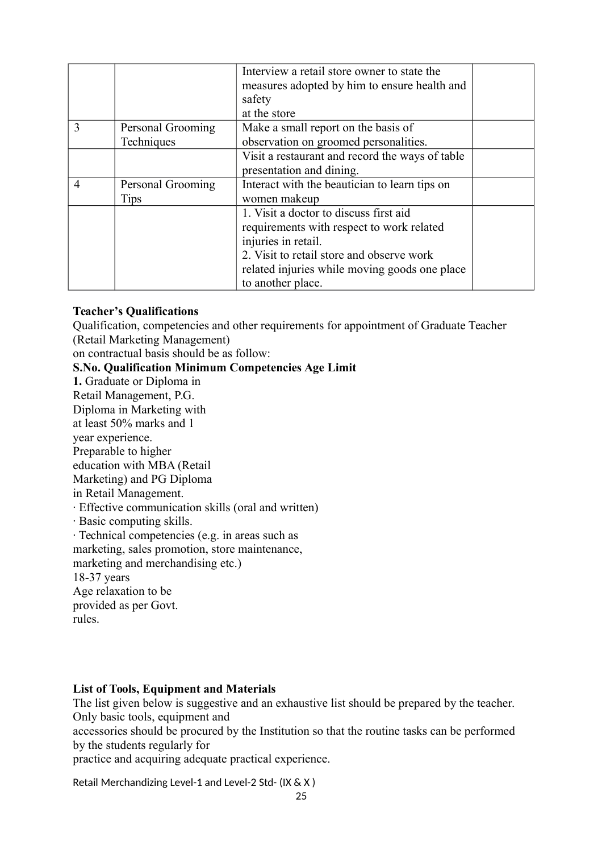|                |                   | Interview a retail store owner to state the     |  |
|----------------|-------------------|-------------------------------------------------|--|
|                |                   | measures adopted by him to ensure health and    |  |
|                |                   | safety                                          |  |
|                |                   | at the store                                    |  |
| 3              | Personal Grooming | Make a small report on the basis of             |  |
|                | Techniques        | observation on groomed personalities.           |  |
|                |                   | Visit a restaurant and record the ways of table |  |
|                |                   | presentation and dining.                        |  |
| $\overline{4}$ | Personal Grooming | Interact with the beautician to learn tips on   |  |
|                | Tips              | women makeup                                    |  |
|                |                   | 1. Visit a doctor to discuss first aid          |  |
|                |                   | requirements with respect to work related       |  |
|                |                   | injuries in retail.                             |  |
|                |                   | 2. Visit to retail store and observe work       |  |
|                |                   | related injuries while moving goods one place   |  |
|                |                   | to another place.                               |  |

### **Teacher's Qualifications**

Qualification, competencies and other requirements for appointment of Graduate Teacher (Retail Marketing Management)

on contractual basis should be as follow:

#### **S.No. Qualification Minimum Competencies Age Limit**

**1.** Graduate or Diploma in Retail Management, P.G. Diploma in Marketing with at least 50% marks and 1 year experience. Preparable to higher education with MBA (Retail Marketing) and PG Diploma in Retail Management. · Effective communication skills (oral and written) · Basic computing skills. · Technical competencies (e.g. in areas such as marketing, sales promotion, store maintenance, marketing and merchandising etc.) 18-37 years Age relaxation to be provided as per Govt. rules.

### **List of Tools, Equipment and Materials**

The list given below is suggestive and an exhaustive list should be prepared by the teacher. Only basic tools, equipment and

accessories should be procured by the Institution so that the routine tasks can be performed by the students regularly for

practice and acquiring adequate practical experience.